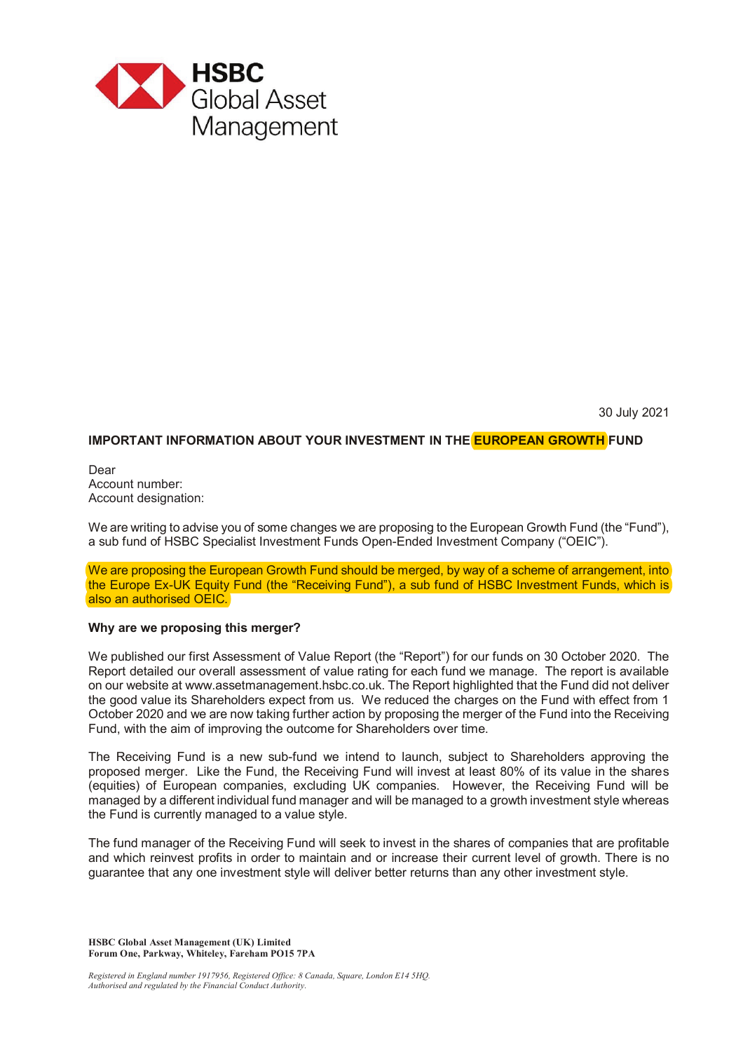

30 July 2021

# **IMPORTANT INFORMATION ABOUT YOUR INVESTMENT IN THE EUROPEAN GROWTH FUND**

Dear Account number: Account designation:

We are writing to advise you of some changes we are proposing to the European Growth Fund (the "Fund"), a sub fund of HSBC Specialist Investment Funds Open-Ended Investment Company ("OEIC").

We are proposing the European Growth Fund should be merged, by way of a scheme of arrangement, into the Europe Ex-UK Equity Fund (the "Receiving Fund"), a sub fund of HSBC Investment Funds, which is also an authorised OEIC.

# **Why are we proposing this merger?**

We published our first Assessment of Value Report (the "Report") for our funds on 30 October 2020. The Report detailed our overall assessment of value rating for each fund we manage. The report is available on our website at www.assetmanagement.hsbc.co.uk. The Report highlighted that the Fund did not deliver the good value its Shareholders expect from us. We reduced the charges on the Fund with effect from 1 October 2020 and we are now taking further action by proposing the merger of the Fund into the Receiving Fund, with the aim of improving the outcome for Shareholders over time.

The Receiving Fund is a new sub-fund we intend to launch, subject to Shareholders approving the proposed merger. Like the Fund, the Receiving Fund will invest at least 80% of its value in the shares (equities) of European companies, excluding UK companies. However, the Receiving Fund will be managed by a different individual fund manager and will be managed to a growth investment style whereas the Fund is currently managed to a value style.

The fund manager of the Receiving Fund will seek to invest in the shares of companies that are profitable and which reinvest profits in order to maintain and or increase their current level of growth. There is no guarantee that any one investment style will deliver better returns than any other investment style.

**HSBC Global Asset Management (UK) Limited Forum One, Parkway, Whiteley, Fareham PO15 7PA** 

*Registered in England number 1917956, Registered Office: 8 Canada, Square, London E14 5HQ. Authorised and regulated by the Financial Conduct Authority.*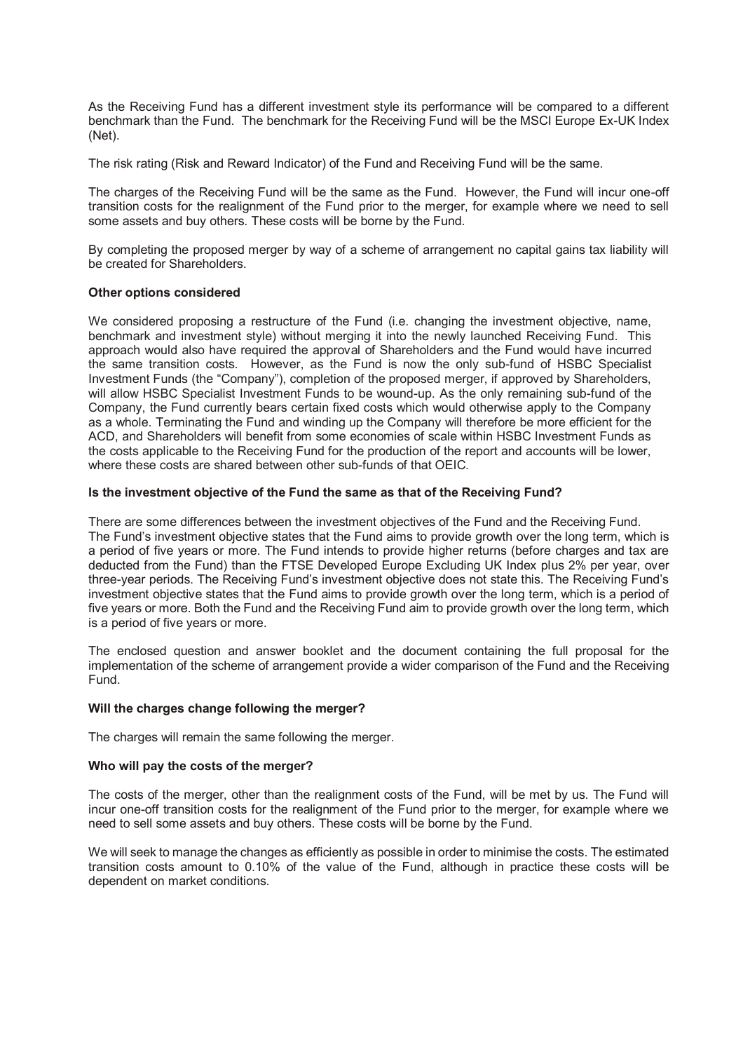As the Receiving Fund has a different investment style its performance will be compared to a different benchmark than the Fund. The benchmark for the Receiving Fund will be the MSCI Europe Ex-UK Index (Net).

The risk rating (Risk and Reward Indicator) of the Fund and Receiving Fund will be the same.

The charges of the Receiving Fund will be the same as the Fund. However, the Fund will incur one-off transition costs for the realignment of the Fund prior to the merger, for example where we need to sell some assets and buy others. These costs will be borne by the Fund.

By completing the proposed merger by way of a scheme of arrangement no capital gains tax liability will be created for Shareholders.

# **Other options considered**

We considered proposing a restructure of the Fund (i.e. changing the investment objective, name, benchmark and investment style) without merging it into the newly launched Receiving Fund. This approach would also have required the approval of Shareholders and the Fund would have incurred the same transition costs. However, as the Fund is now the only sub-fund of HSBC Specialist Investment Funds (the "Company"), completion of the proposed merger, if approved by Shareholders, will allow HSBC Specialist Investment Funds to be wound-up. As the only remaining sub-fund of the Company, the Fund currently bears certain fixed costs which would otherwise apply to the Company as a whole. Terminating the Fund and winding up the Company will therefore be more efficient for the ACD, and Shareholders will benefit from some economies of scale within HSBC Investment Funds as the costs applicable to the Receiving Fund for the production of the report and accounts will be lower, where these costs are shared between other sub-funds of that OEIC.

# **Is the investment objective of the Fund the same as that of the Receiving Fund?**

There are some differences between the investment objectives of the Fund and the Receiving Fund. The Fund's investment objective states that the Fund aims to provide growth over the long term, which is a period of five years or more. The Fund intends to provide higher returns (before charges and tax are deducted from the Fund) than the FTSE Developed Europe Excluding UK Index plus 2% per year, over three-year periods. The Receiving Fund's investment objective does not state this. The Receiving Fund's investment objective states that the Fund aims to provide growth over the long term, which is a period of five years or more. Both the Fund and the Receiving Fund aim to provide growth over the long term, which is a period of five years or more.

The enclosed question and answer booklet and the document containing the full proposal for the implementation of the scheme of arrangement provide a wider comparison of the Fund and the Receiving Fund.

# **Will the charges change following the merger?**

The charges will remain the same following the merger.

#### **Who will pay the costs of the merger?**

The costs of the merger, other than the realignment costs of the Fund, will be met by us. The Fund will incur one-off transition costs for the realignment of the Fund prior to the merger, for example where we need to sell some assets and buy others. These costs will be borne by the Fund.

We will seek to manage the changes as efficiently as possible in order to minimise the costs. The estimated transition costs amount to 0.10% of the value of the Fund, although in practice these costs will be dependent on market conditions.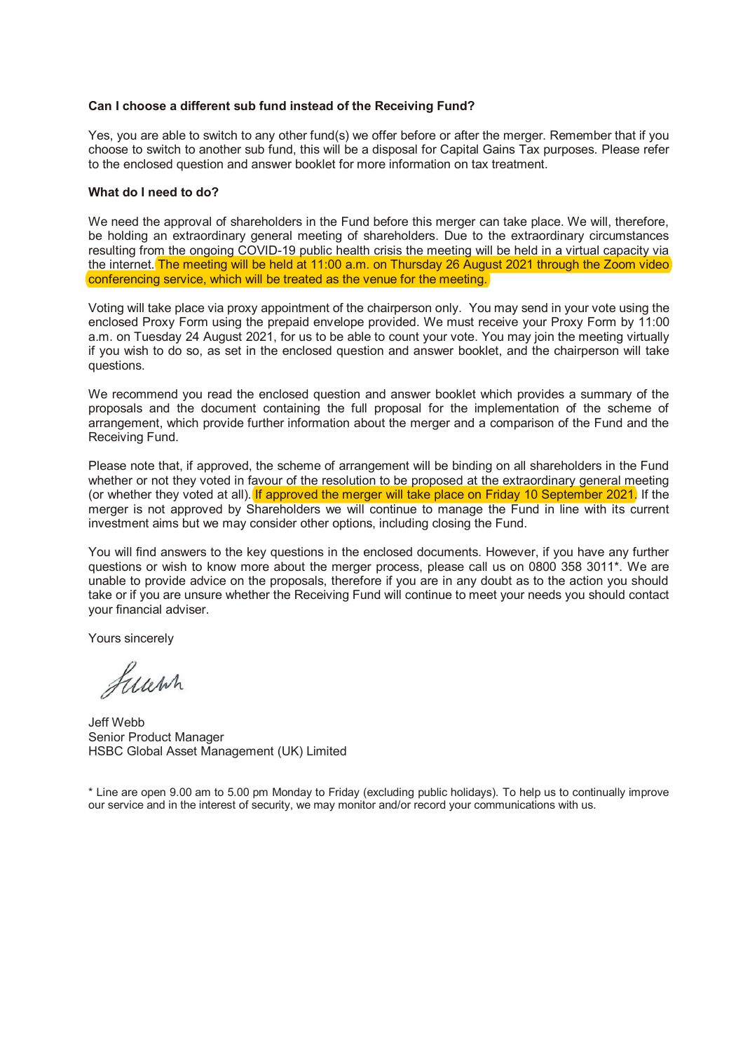# **Can I choose a different sub fund instead of the Receiving Fund?**

Yes, you are able to switch to any other fund(s) we offer before or after the merger. Remember that if you choose to switch to another sub fund, this will be a disposal for Capital Gains Tax purposes. Please refer to the enclosed question and answer booklet for more information on tax treatment.

#### **What do I need to do?**

We need the approval of shareholders in the Fund before this merger can take place. We will, therefore, be holding an extraordinary general meeting of shareholders. Due to the extraordinary circumstances resulting from the ongoing COVID-19 public health crisis the meeting will be held in a virtual capacity via the internet. The meeting will be held at 11:00 a.m. on Thursday 26 August 2021 through the Zoom video conferencing service, which will be treated as the venue for the meeting.

Voting will take place via proxy appointment of the chairperson only. You may send in your vote using the enclosed Proxy Form using the prepaid envelope provided. We must receive your Proxy Form by 11:00 a.m. on Tuesday 24 August 2021, for us to be able to count your vote. You may join the meeting virtually if you wish to do so, as set in the enclosed question and answer booklet, and the chairperson will take questions.

We recommend you read the enclosed question and answer booklet which provides a summary of the proposals and the document containing the full proposal for the implementation of the scheme of arrangement, which provide further information about the merger and a comparison of the Fund and the Receiving Fund.

Please note that, if approved, the scheme of arrangement will be binding on all shareholders in the Fund whether or not they voted in favour of the resolution to be proposed at the extraordinary general meeting (or whether they voted at all). If approved the merger will take place on Friday 10 September 2021. If the merger is not approved by Shareholders we will continue to manage the Fund in line with its current investment aims but we may consider other options, including closing the Fund.

You will find answers to the key questions in the enclosed documents. However, if you have any further questions or wish to know more about the merger process, please call us on 0800 358 3011\*. We are unable to provide advice on the proposals, therefore if you are in any doubt as to the action you should take or if you are unsure whether the Receiving Fund will continue to meet your needs you should contact your financial adviser.

Yours sincerely

Luwn

Jeff Webb Senior Product Manager HSBC Global Asset Management (UK) Limited

\* Line are open 9.00 am to 5.00 pm Monday to Friday (excluding public holidays). To help us to continually improve our service and in the interest of security, we may monitor and/or record your communications with us.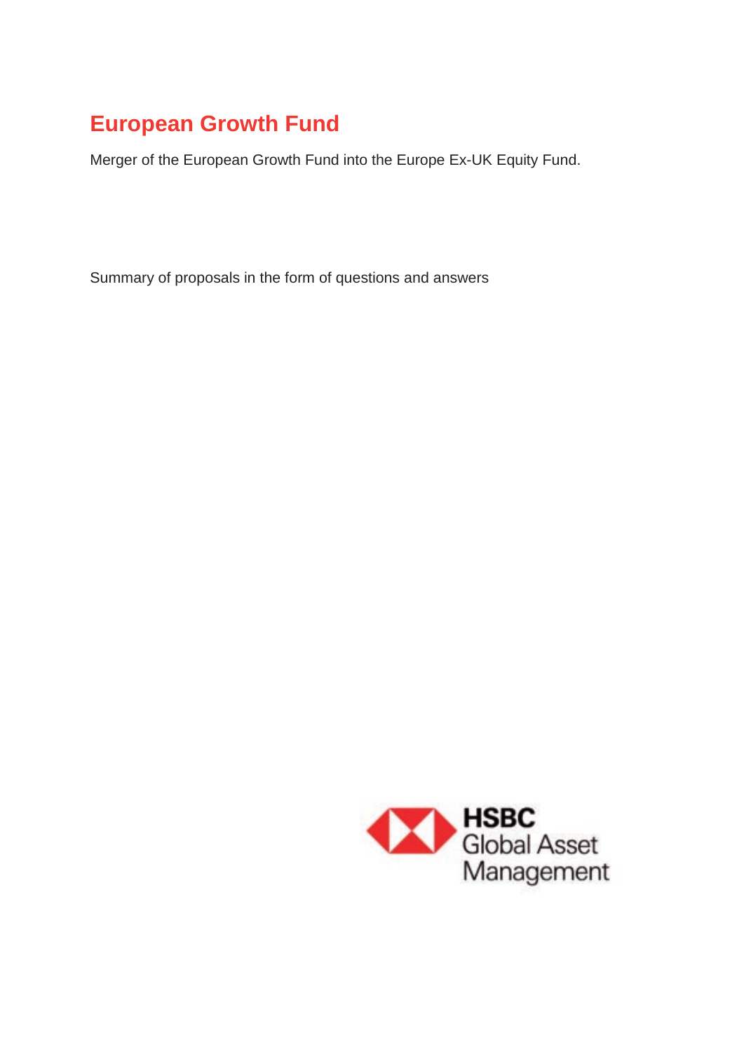# **European Growth Fund**

Merger of the European Growth Fund into the Europe Ex-UK Equity Fund.

Summary of proposals in the form of questions and answers

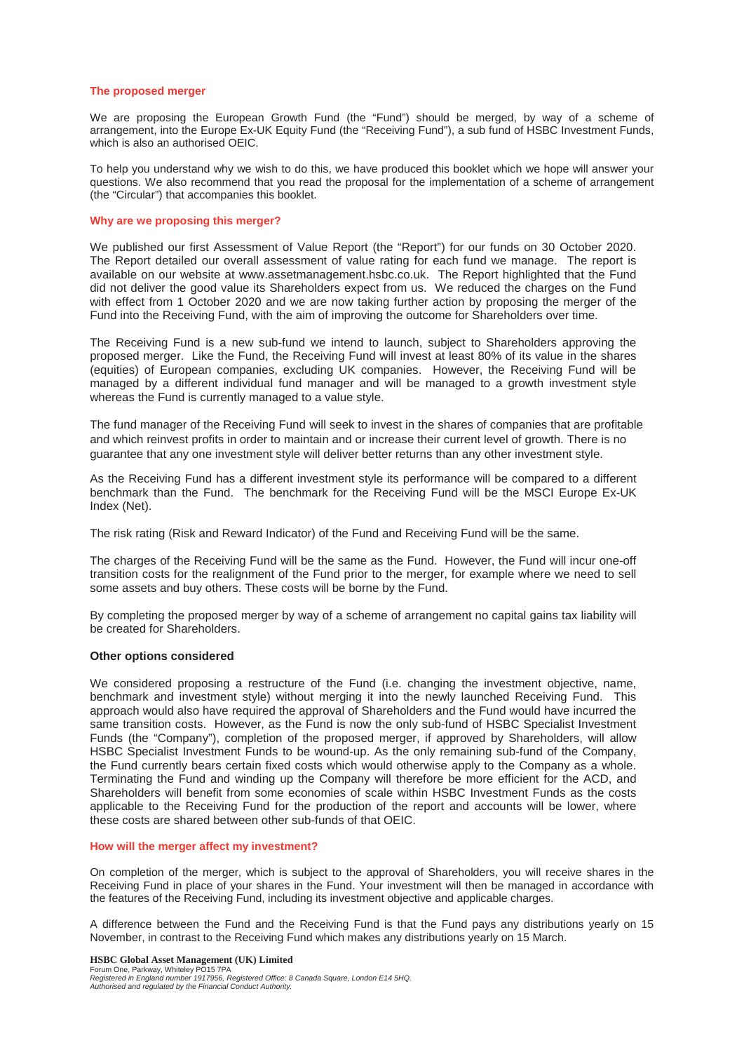#### **The proposed merger**

We are proposing the European Growth Fund (the "Fund") should be merged, by way of a scheme of arrangement, into the Europe Ex-UK Equity Fund (the "Receiving Fund"), a sub fund of HSBC Investment Funds, which is also an authorised OEIC.

To help you understand why we wish to do this, we have produced this booklet which we hope will answer your questions. We also recommend that you read the proposal for the implementation of a scheme of arrangement (the "Circular") that accompanies this booklet.

#### **Why are we proposing this merger?**

We published our first Assessment of Value Report (the "Report") for our funds on 30 October 2020. The Report detailed our overall assessment of value rating for each fund we manage. The report is available on our website at www.assetmanagement.hsbc.co.uk. The Report highlighted that the Fund did not deliver the good value its Shareholders expect from us. We reduced the charges on the Fund with effect from 1 October 2020 and we are now taking further action by proposing the merger of the Fund into the Receiving Fund, with the aim of improving the outcome for Shareholders over time.

The Receiving Fund is a new sub-fund we intend to launch, subject to Shareholders approving the proposed merger. Like the Fund, the Receiving Fund will invest at least 80% of its value in the shares (equities) of European companies, excluding UK companies. However, the Receiving Fund will be managed by a different individual fund manager and will be managed to a growth investment style whereas the Fund is currently managed to a value style.

The fund manager of the Receiving Fund will seek to invest in the shares of companies that are profitable and which reinvest profits in order to maintain and or increase their current level of growth. There is no guarantee that any one investment style will deliver better returns than any other investment style.

As the Receiving Fund has a different investment style its performance will be compared to a different benchmark than the Fund. The benchmark for the Receiving Fund will be the MSCI Europe Ex-UK Index (Net).

The risk rating (Risk and Reward Indicator) of the Fund and Receiving Fund will be the same.

The charges of the Receiving Fund will be the same as the Fund. However, the Fund will incur one-off transition costs for the realignment of the Fund prior to the merger, for example where we need to sell some assets and buy others. These costs will be borne by the Fund.

By completing the proposed merger by way of a scheme of arrangement no capital gains tax liability will be created for Shareholders.

#### **Other options considered**

We considered proposing a restructure of the Fund (i.e. changing the investment objective, name, benchmark and investment style) without merging it into the newly launched Receiving Fund. This approach would also have required the approval of Shareholders and the Fund would have incurred the same transition costs. However, as the Fund is now the only sub-fund of HSBC Specialist Investment Funds (the "Company"), completion of the proposed merger, if approved by Shareholders, will allow HSBC Specialist Investment Funds to be wound-up. As the only remaining sub-fund of the Company, the Fund currently bears certain fixed costs which would otherwise apply to the Company as a whole. Terminating the Fund and winding up the Company will therefore be more efficient for the ACD, and Shareholders will benefit from some economies of scale within HSBC Investment Funds as the costs applicable to the Receiving Fund for the production of the report and accounts will be lower, where these costs are shared between other sub-funds of that OEIC.

#### **How will the merger affect my investment?**

On completion of the merger, which is subject to the approval of Shareholders, you will receive shares in the Receiving Fund in place of your shares in the Fund. Your investment will then be managed in accordance with the features of the Receiving Fund, including its investment objective and applicable charges.

A difference between the Fund and the Receiving Fund is that the Fund pays any distributions yearly on 15 November, in contrast to the Receiving Fund which makes any distributions yearly on 15 March.

**HSBC Global Asset Management (UK) Limited**  Forum One, Parkway, Whiteley PO15 7PA *Registered in England number 1917956, Registered Office: 8 Canada Square, London E14 5HQ. Authorised and regulated by the Financial Conduct Authority.*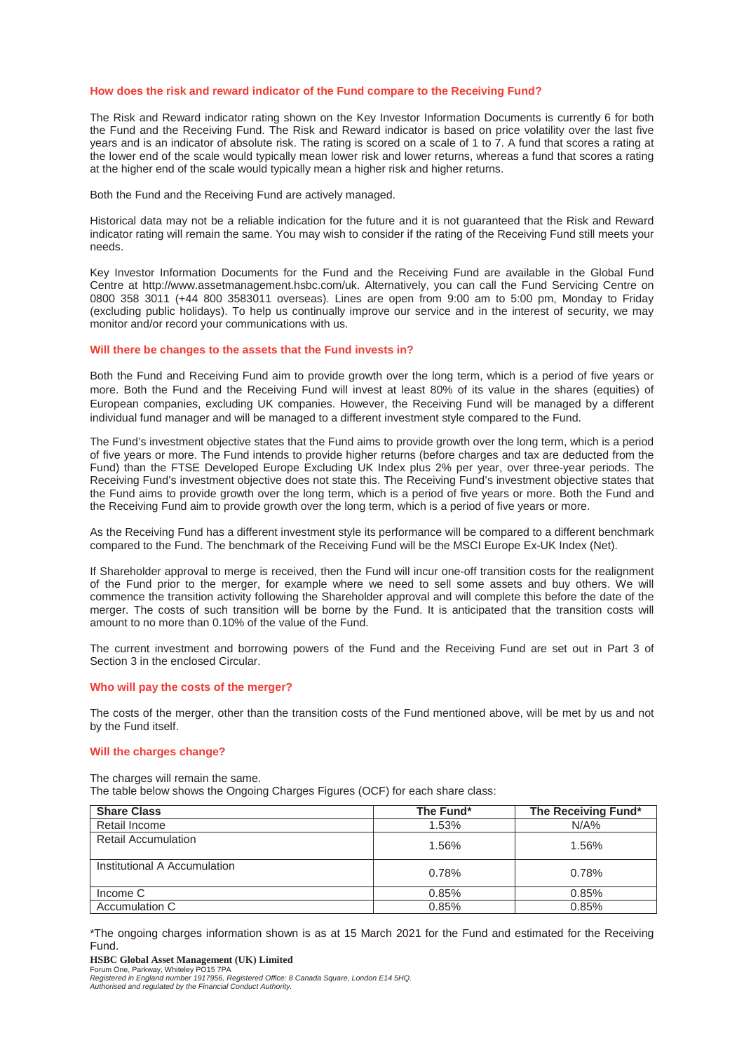#### **How does the risk and reward indicator of the Fund compare to the Receiving Fund?**

The Risk and Reward indicator rating shown on the Key Investor Information Documents is currently 6 for both the Fund and the Receiving Fund. The Risk and Reward indicator is based on price volatility over the last five years and is an indicator of absolute risk. The rating is scored on a scale of 1 to 7. A fund that scores a rating at the lower end of the scale would typically mean lower risk and lower returns, whereas a fund that scores a rating at the higher end of the scale would typically mean a higher risk and higher returns.

Both the Fund and the Receiving Fund are actively managed.

Historical data may not be a reliable indication for the future and it is not guaranteed that the Risk and Reward indicator rating will remain the same. You may wish to consider if the rating of the Receiving Fund still meets your needs.

Key Investor Information Documents for the Fund and the Receiving Fund are available in the Global Fund Centre at http://www.assetmanagement.hsbc.com/uk. Alternatively, you can call the Fund Servicing Centre on 0800 358 3011 (+44 800 3583011 overseas). Lines are open from 9:00 am to 5:00 pm, Monday to Friday (excluding public holidays). To help us continually improve our service and in the interest of security, we may monitor and/or record your communications with us.

#### **Will there be changes to the assets that the Fund invests in?**

Both the Fund and Receiving Fund aim to provide growth over the long term, which is a period of five years or more. Both the Fund and the Receiving Fund will invest at least 80% of its value in the shares (equities) of European companies, excluding UK companies. However, the Receiving Fund will be managed by a different individual fund manager and will be managed to a different investment style compared to the Fund.

The Fund's investment objective states that the Fund aims to provide growth over the long term, which is a period of five years or more. The Fund intends to provide higher returns (before charges and tax are deducted from the Fund) than the FTSE Developed Europe Excluding UK Index plus 2% per year, over three-year periods. The Receiving Fund's investment objective does not state this. The Receiving Fund's investment objective states that the Fund aims to provide growth over the long term, which is a period of five years or more. Both the Fund and the Receiving Fund aim to provide growth over the long term, which is a period of five years or more.

As the Receiving Fund has a different investment style its performance will be compared to a different benchmark compared to the Fund. The benchmark of the Receiving Fund will be the MSCI Europe Ex-UK Index (Net).

If Shareholder approval to merge is received, then the Fund will incur one-off transition costs for the realignment of the Fund prior to the merger, for example where we need to sell some assets and buy others. We will commence the transition activity following the Shareholder approval and will complete this before the date of the merger. The costs of such transition will be borne by the Fund. It is anticipated that the transition costs will amount to no more than 0.10% of the value of the Fund.

The current investment and borrowing powers of the Fund and the Receiving Fund are set out in Part 3 of Section 3 in the enclosed Circular.

#### **Who will pay the costs of the merger?**

The costs of the merger, other than the transition costs of the Fund mentioned above, will be met by us and not by the Fund itself.

#### **Will the charges change?**

The charges will remain the same. The table below shows the Ongoing Charges Figures (OCF) for each share class:

| <b>Share Class</b>           | The Fund* | The Receiving Fund* |
|------------------------------|-----------|---------------------|
| Retail Income                | 1.53%     | $N/A\%$             |
| <b>Retail Accumulation</b>   | 1.56%     | 1.56%               |
| Institutional A Accumulation | 0.78%     | 0.78%               |
| Income C                     | 0.85%     | 0.85%               |
| Accumulation C               | 0.85%     | 0.85%               |

\*The ongoing charges information shown is as at 15 March 2021 for the Fund and estimated for the Receiving Fund.

**HSBC Global Asset Management (UK) Limited** 

Forum One, Parkway, Whiteley PO15 7PA *Registered in England number 1917956, Registered Office: 8 Canada Square, London E14 5HQ. Authorised and regulated by the Financial Conduct Authority.*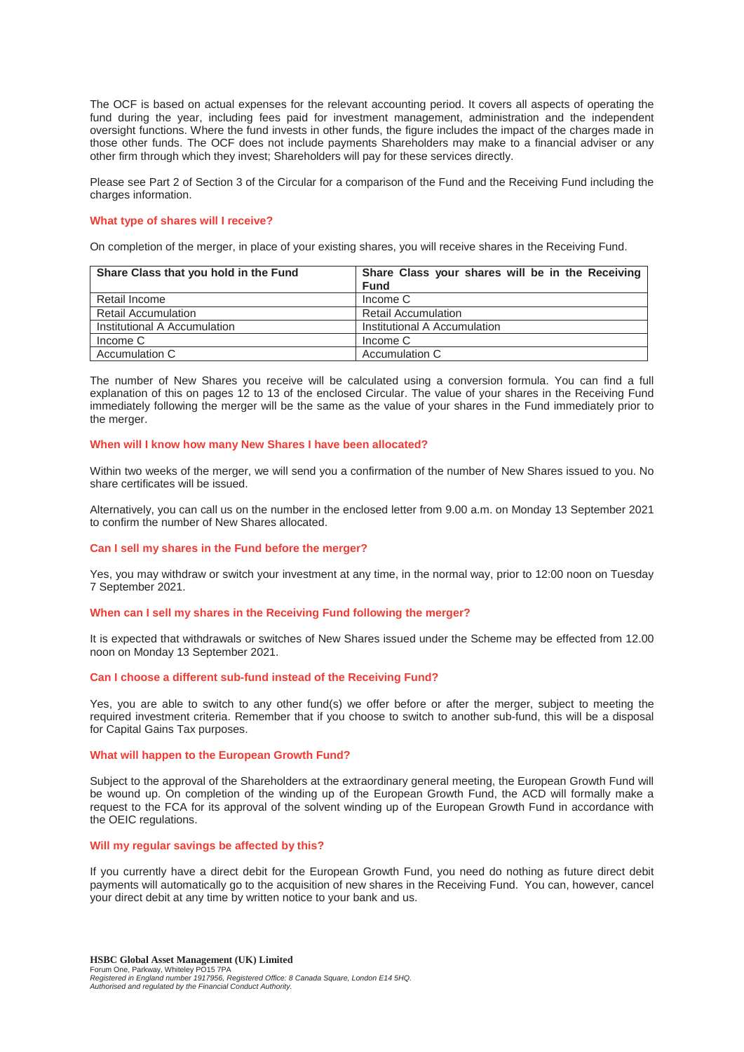The OCF is based on actual expenses for the relevant accounting period. It covers all aspects of operating the fund during the year, including fees paid for investment management, administration and the independent oversight functions. Where the fund invests in other funds, the figure includes the impact of the charges made in those other funds. The OCF does not include payments Shareholders may make to a financial adviser or any other firm through which they invest; Shareholders will pay for these services directly.

Please see Part 2 of Section 3 of the Circular for a comparison of the Fund and the Receiving Fund including the charges information.

#### **What type of shares will I receive?**

On completion of the merger, in place of your existing shares, you will receive shares in the Receiving Fund.

| Share Class that you hold in the Fund | Share Class your shares will be in the Receiving |
|---------------------------------------|--------------------------------------------------|
|                                       | <b>Fund</b>                                      |
| Retail Income                         | Income C                                         |
| <b>Retail Accumulation</b>            | <b>Retail Accumulation</b>                       |
| Institutional A Accumulation          | Institutional A Accumulation                     |
| Income C                              | Income C                                         |
| Accumulation C                        | Accumulation C                                   |

The number of New Shares you receive will be calculated using a conversion formula. You can find a full explanation of this on pages 12 to 13 of the enclosed Circular. The value of your shares in the Receiving Fund immediately following the merger will be the same as the value of your shares in the Fund immediately prior to the merger.

#### **When will I know how many New Shares I have been allocated?**

Within two weeks of the merger, we will send you a confirmation of the number of New Shares issued to you. No share certificates will be issued.

Alternatively, you can call us on the number in the enclosed letter from 9.00 a.m. on Monday 13 September 2021 to confirm the number of New Shares allocated.

#### **Can I sell my shares in the Fund before the merger?**

Yes, you may withdraw or switch your investment at any time, in the normal way, prior to 12:00 noon on Tuesday 7 September 2021.

#### **When can I sell my shares in the Receiving Fund following the merger?**

It is expected that withdrawals or switches of New Shares issued under the Scheme may be effected from 12.00 noon on Monday 13 September 2021.

#### **Can I choose a different sub-fund instead of the Receiving Fund?**

Yes, you are able to switch to any other fund(s) we offer before or after the merger, subject to meeting the required investment criteria. Remember that if you choose to switch to another sub-fund, this will be a disposal for Capital Gains Tax purposes.

#### **What will happen to the European Growth Fund?**

Subject to the approval of the Shareholders at the extraordinary general meeting, the European Growth Fund will be wound up. On completion of the winding up of the European Growth Fund, the ACD will formally make a request to the FCA for its approval of the solvent winding up of the European Growth Fund in accordance with the OEIC regulations.

#### **Will my regular savings be affected by this?**

If you currently have a direct debit for the European Growth Fund, you need do nothing as future direct debit payments will automatically go to the acquisition of new shares in the Receiving Fund. You can, however, cancel your direct debit at any time by written notice to your bank and us.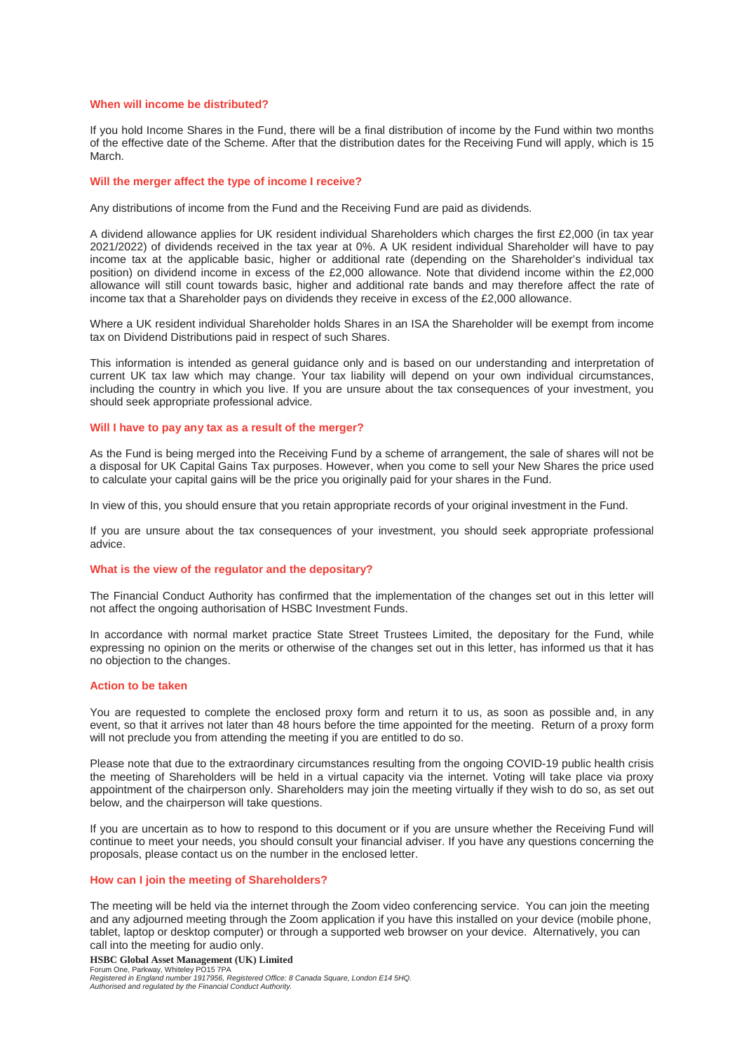#### **When will income be distributed?**

If you hold Income Shares in the Fund, there will be a final distribution of income by the Fund within two months of the effective date of the Scheme. After that the distribution dates for the Receiving Fund will apply, which is 15 March.

#### **Will the merger affect the type of income I receive?**

Any distributions of income from the Fund and the Receiving Fund are paid as dividends.

A dividend allowance applies for UK resident individual Shareholders which charges the first £2,000 (in tax year 2021/2022) of dividends received in the tax year at 0%. A UK resident individual Shareholder will have to pay income tax at the applicable basic, higher or additional rate (depending on the Shareholder's individual tax position) on dividend income in excess of the £2,000 allowance. Note that dividend income within the £2,000 allowance will still count towards basic, higher and additional rate bands and may therefore affect the rate of income tax that a Shareholder pays on dividends they receive in excess of the £2,000 allowance.

Where a UK resident individual Shareholder holds Shares in an ISA the Shareholder will be exempt from income tax on Dividend Distributions paid in respect of such Shares.

This information is intended as general guidance only and is based on our understanding and interpretation of current UK tax law which may change. Your tax liability will depend on your own individual circumstances, including the country in which you live. If you are unsure about the tax consequences of your investment, you should seek appropriate professional advice.

#### **Will I have to pay any tax as a result of the merger?**

As the Fund is being merged into the Receiving Fund by a scheme of arrangement, the sale of shares will not be a disposal for UK Capital Gains Tax purposes. However, when you come to sell your New Shares the price used to calculate your capital gains will be the price you originally paid for your shares in the Fund.

In view of this, you should ensure that you retain appropriate records of your original investment in the Fund.

If you are unsure about the tax consequences of your investment, you should seek appropriate professional advice.

#### **What is the view of the regulator and the depositary?**

The Financial Conduct Authority has confirmed that the implementation of the changes set out in this letter will not affect the ongoing authorisation of HSBC Investment Funds.

In accordance with normal market practice State Street Trustees Limited, the depositary for the Fund, while expressing no opinion on the merits or otherwise of the changes set out in this letter, has informed us that it has no objection to the changes.

#### **Action to be taken**

You are requested to complete the enclosed proxy form and return it to us, as soon as possible and, in any event, so that it arrives not later than 48 hours before the time appointed for the meeting. Return of a proxy form will not preclude you from attending the meeting if you are entitled to do so.

Please note that due to the extraordinary circumstances resulting from the ongoing COVID-19 public health crisis the meeting of Shareholders will be held in a virtual capacity via the internet. Voting will take place via proxy appointment of the chairperson only. Shareholders may join the meeting virtually if they wish to do so, as set out below, and the chairperson will take questions.

If you are uncertain as to how to respond to this document or if you are unsure whether the Receiving Fund will continue to meet your needs, you should consult your financial adviser. If you have any questions concerning the proposals, please contact us on the number in the enclosed letter.

# **How can I join the meeting of Shareholders?**

The meeting will be held via the internet through the Zoom video conferencing service. You can join the meeting and any adjourned meeting through the Zoom application if you have this installed on your device (mobile phone, tablet, laptop or desktop computer) or through a supported web browser on your device. Alternatively, you can call into the meeting for audio only.

**HSBC Global Asset Management (UK) Limited**  Forum One, Parkway, Whiteley PO15 7PA *Registered in England number 1917956, Registered Office: 8 Canada Square, London E14 5HQ.* 

*Authorised and regulated by the Financial Conduct Authority.*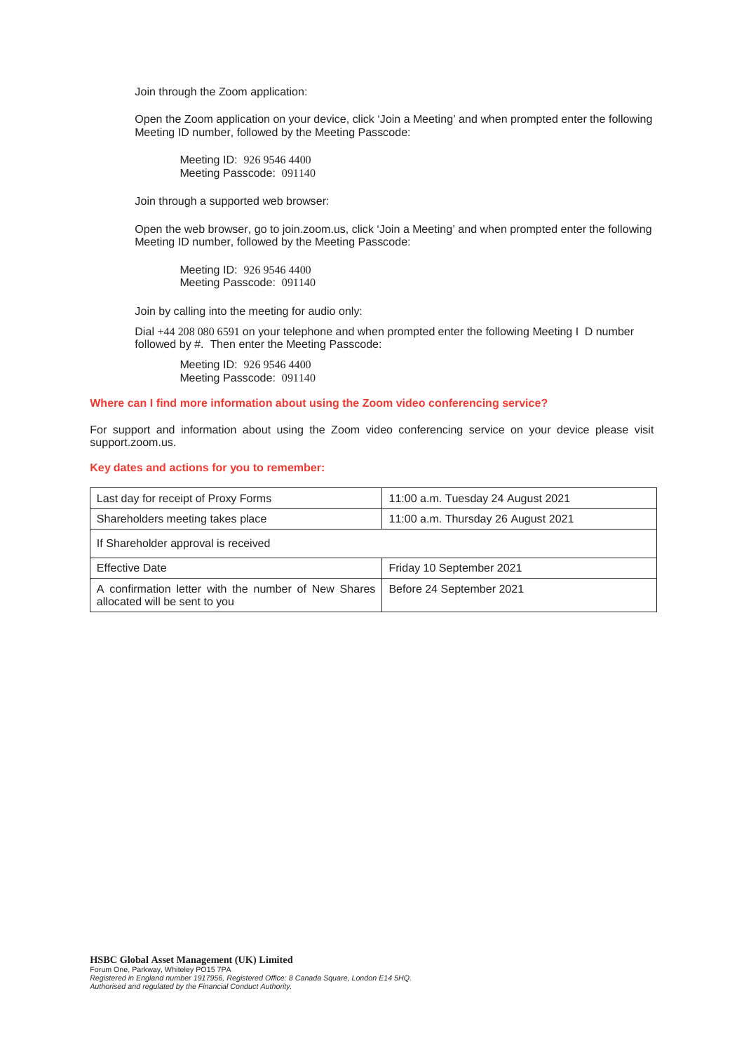Join through the Zoom application:

Open the Zoom application on your device, click 'Join a Meeting' and when prompted enter the following Meeting ID number, followed by the Meeting Passcode:

Meeting ID: 926 9546 4400 Meeting Passcode: 091140

Join through a supported web browser:

Open the web browser, go to join.zoom.us, click 'Join a Meeting' and when prompted enter the following Meeting ID number, followed by the Meeting Passcode:

Meeting ID: 926 9546 4400 Meeting Passcode: 091140

Join by calling into the meeting for audio only:

Dial +44 208 080 6591 on your telephone and when prompted enter the following Meeting I D number followed by #. Then enter the Meeting Passcode:

Meeting ID: 926 9546 4400 Meeting Passcode: 091140

#### **Where can I find more information about using the Zoom video conferencing service?**

For support and information about using the Zoom video conferencing service on your device please visit support.zoom.us.

#### **Key dates and actions for you to remember:**

| Last day for receipt of Proxy Forms                                                  | 11:00 a.m. Tuesday 24 August 2021  |
|--------------------------------------------------------------------------------------|------------------------------------|
| Shareholders meeting takes place                                                     | 11:00 a.m. Thursday 26 August 2021 |
| If Shareholder approval is received                                                  |                                    |
| <b>Effective Date</b>                                                                | Friday 10 September 2021           |
| A confirmation letter with the number of New Shares<br>allocated will be sent to you | Before 24 September 2021           |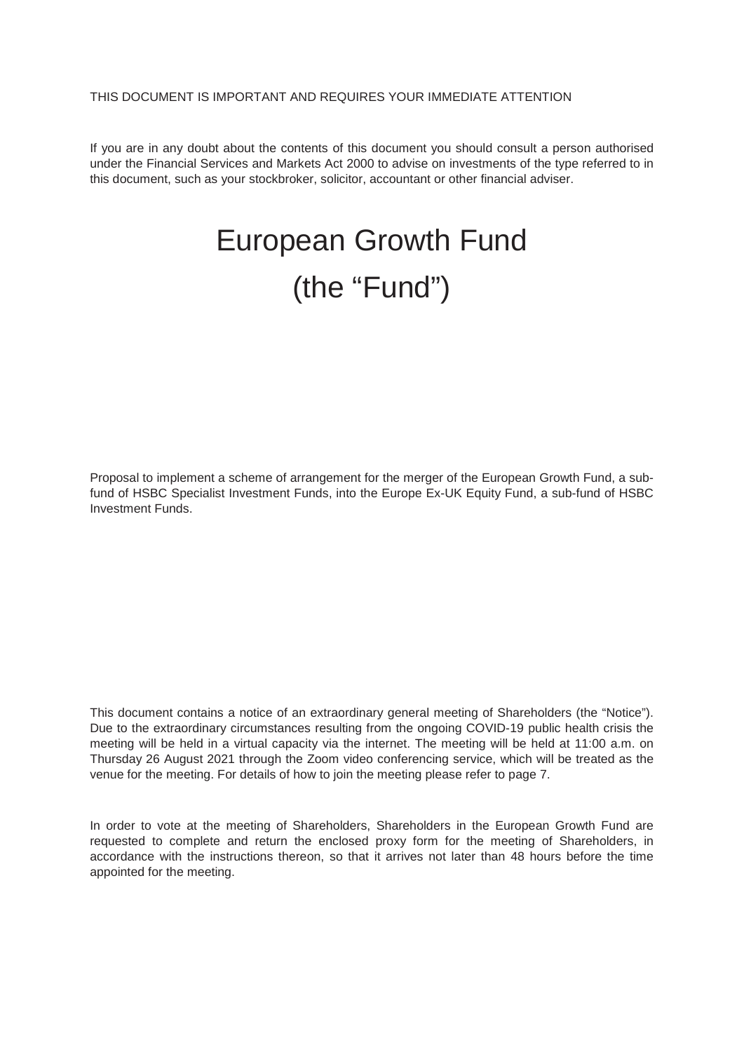# THIS DOCUMENT IS IMPORTANT AND REQUIRES YOUR IMMEDIATE ATTENTION

If you are in any doubt about the contents of this document you should consult a person authorised under the Financial Services and Markets Act 2000 to advise on investments of the type referred to in this document, such as your stockbroker, solicitor, accountant or other financial adviser.

# European Growth Fund (the "Fund")

Proposal to implement a scheme of arrangement for the merger of the European Growth Fund, a subfund of HSBC Specialist Investment Funds, into the Europe Ex-UK Equity Fund, a sub-fund of HSBC Investment Funds.

This document contains a notice of an extraordinary general meeting of Shareholders (the "Notice"). Due to the extraordinary circumstances resulting from the ongoing COVID-19 public health crisis the meeting will be held in a virtual capacity via the internet. The meeting will be held at 11:00 a.m. on Thursday 26 August 2021 through the Zoom video conferencing service, which will be treated as the venue for the meeting. For details of how to join the meeting please refer to page 7.

In order to vote at the meeting of Shareholders, Shareholders in the European Growth Fund are requested to complete and return the enclosed proxy form for the meeting of Shareholders, in accordance with the instructions thereon, so that it arrives not later than 48 hours before the time appointed for the meeting.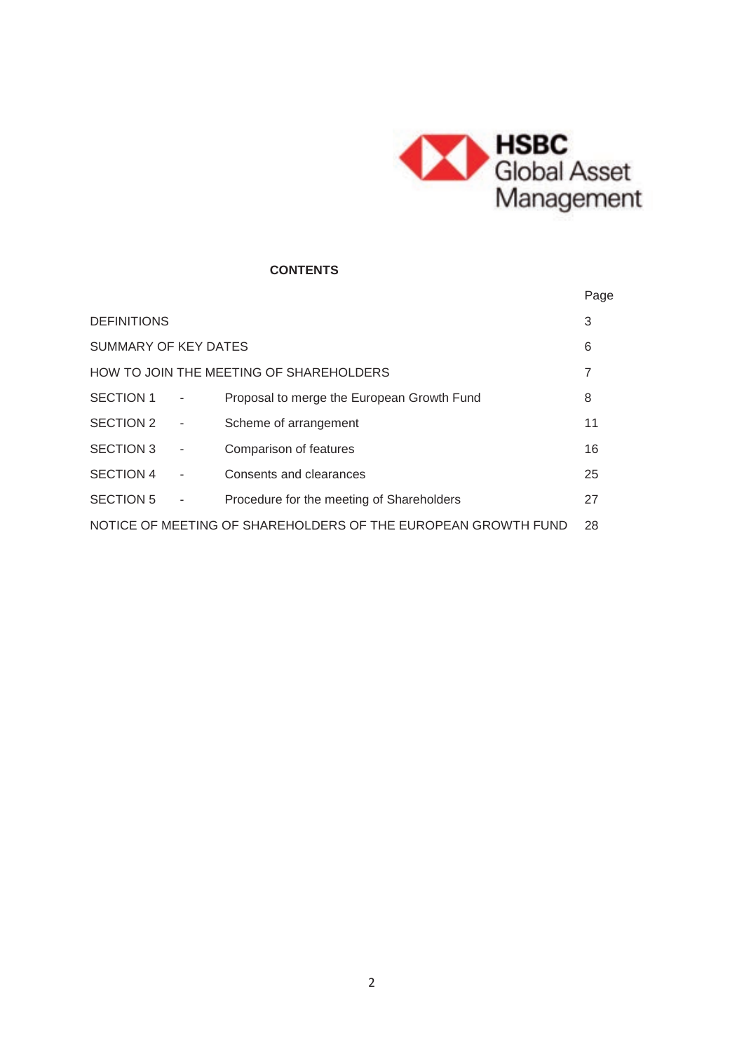

# **CONTENTS**

|                                                                     |  |                                            | Page |
|---------------------------------------------------------------------|--|--------------------------------------------|------|
| <b>DEFINITIONS</b>                                                  |  |                                            | 3    |
| SUMMARY OF KEY DATES                                                |  |                                            | 6    |
|                                                                     |  | HOW TO JOIN THE MEETING OF SHAREHOLDERS    | 7    |
| SECTION 1                                                           |  | Proposal to merge the European Growth Fund | 8    |
| SECTION 2                                                           |  | Scheme of arrangement                      | 11   |
| SECTION 3                                                           |  | Comparison of features                     | 16   |
| SECTION 4                                                           |  | Consents and clearances                    | 25   |
| <b>SECTION 5</b>                                                    |  | Procedure for the meeting of Shareholders  | 27   |
| NOTICE OF MEETING OF SHAREHOLDERS OF THE EUROPEAN GROWTH FUND<br>28 |  |                                            |      |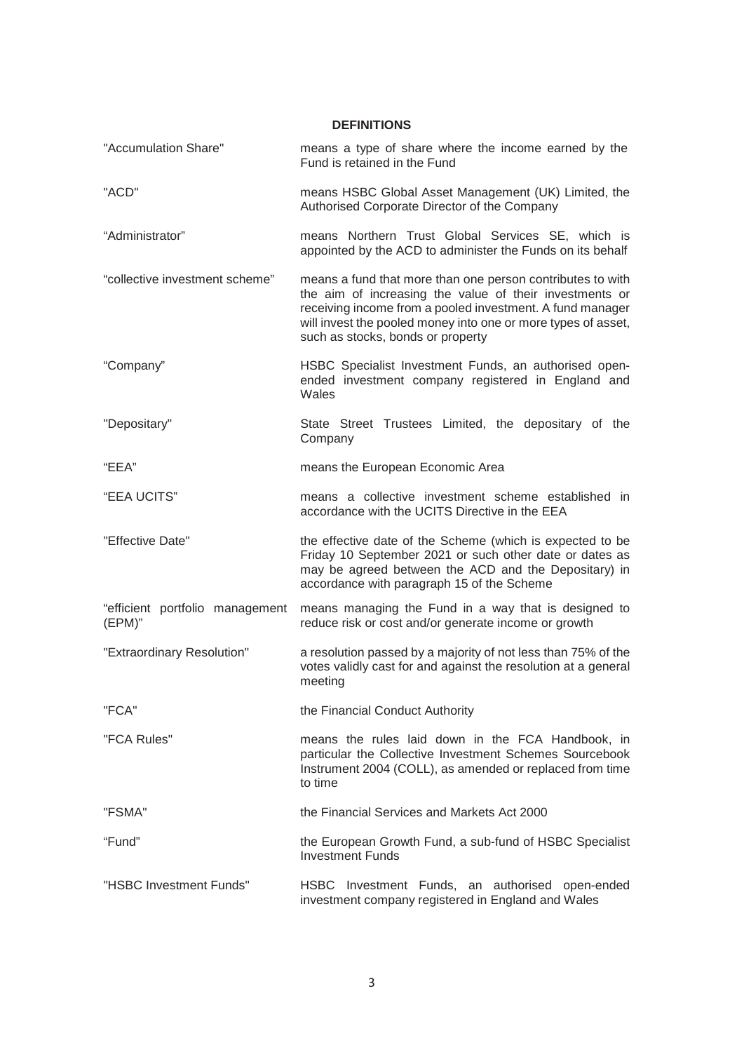**DEFINITIONS** 

| "Accumulation Share"                      | means a type of share where the income earned by the<br>Fund is retained in the Fund                                                                                                                                                                                                     |
|-------------------------------------------|------------------------------------------------------------------------------------------------------------------------------------------------------------------------------------------------------------------------------------------------------------------------------------------|
| "ACD"                                     | means HSBC Global Asset Management (UK) Limited, the<br>Authorised Corporate Director of the Company                                                                                                                                                                                     |
| "Administrator"                           | means Northern Trust Global Services SE, which is<br>appointed by the ACD to administer the Funds on its behalf                                                                                                                                                                          |
| "collective investment scheme"            | means a fund that more than one person contributes to with<br>the aim of increasing the value of their investments or<br>receiving income from a pooled investment. A fund manager<br>will invest the pooled money into one or more types of asset,<br>such as stocks, bonds or property |
| "Company"                                 | HSBC Specialist Investment Funds, an authorised open-<br>ended investment company registered in England and<br>Wales                                                                                                                                                                     |
| "Depositary"                              | State Street Trustees Limited, the depositary of the<br>Company                                                                                                                                                                                                                          |
| "EEA"                                     | means the European Economic Area                                                                                                                                                                                                                                                         |
| "EEA UCITS"                               | means a collective investment scheme established in<br>accordance with the UCITS Directive in the EEA                                                                                                                                                                                    |
| "Effective Date"                          | the effective date of the Scheme (which is expected to be<br>Friday 10 September 2021 or such other date or dates as<br>may be agreed between the ACD and the Depositary) in<br>accordance with paragraph 15 of the Scheme                                                               |
| "efficient portfolio management<br>(EPM)" | means managing the Fund in a way that is designed to<br>reduce risk or cost and/or generate income or growth                                                                                                                                                                             |
| "Extraordinary Resolution"                | a resolution passed by a majority of not less than 75% of the<br>votes validly cast for and against the resolution at a general<br>meeting                                                                                                                                               |
| "FCA"                                     | the Financial Conduct Authority                                                                                                                                                                                                                                                          |
| "FCA Rules"                               | means the rules laid down in the FCA Handbook, in<br>particular the Collective Investment Schemes Sourcebook<br>Instrument 2004 (COLL), as amended or replaced from time<br>to time                                                                                                      |
| "FSMA"                                    | the Financial Services and Markets Act 2000                                                                                                                                                                                                                                              |
| "Fund"                                    | the European Growth Fund, a sub-fund of HSBC Specialist<br><b>Investment Funds</b>                                                                                                                                                                                                       |
| "HSBC Investment Funds"                   | HSBC Investment Funds, an authorised<br>open-ended<br>investment company registered in England and Wales                                                                                                                                                                                 |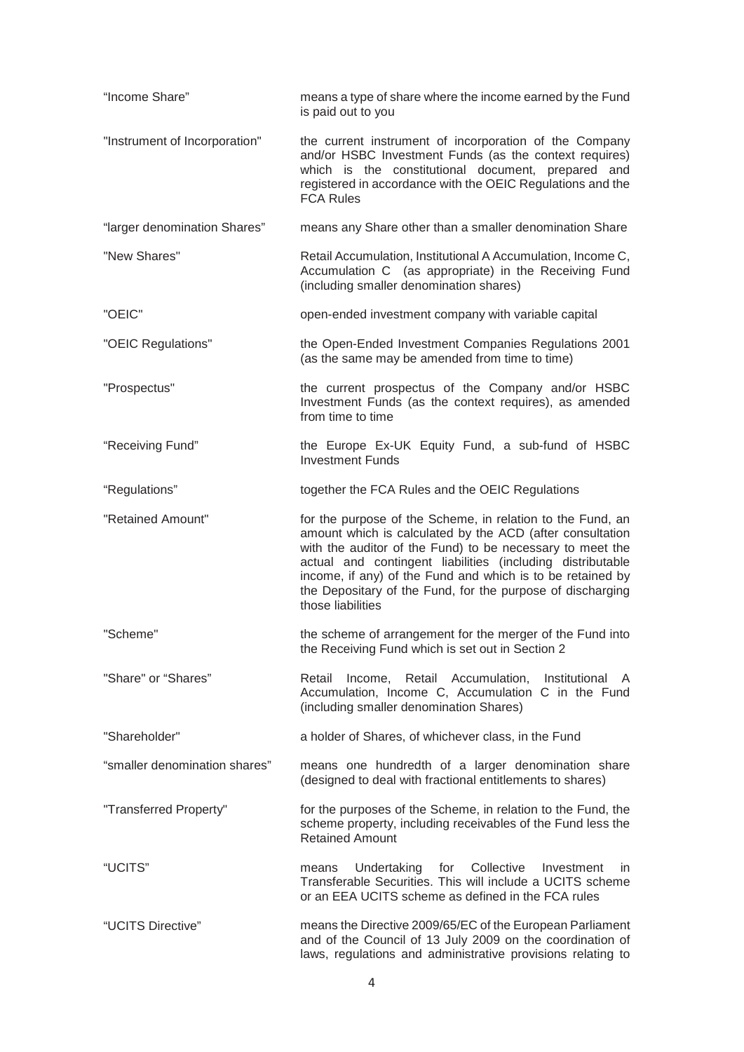| "Income Share"                | means a type of share where the income earned by the Fund<br>is paid out to you                                                                                                                                                                                                                                                                                                                     |
|-------------------------------|-----------------------------------------------------------------------------------------------------------------------------------------------------------------------------------------------------------------------------------------------------------------------------------------------------------------------------------------------------------------------------------------------------|
| "Instrument of Incorporation" | the current instrument of incorporation of the Company<br>and/or HSBC Investment Funds (as the context requires)<br>which is the constitutional document, prepared and<br>registered in accordance with the OEIC Regulations and the<br><b>FCA Rules</b>                                                                                                                                            |
| "larger denomination Shares"  | means any Share other than a smaller denomination Share                                                                                                                                                                                                                                                                                                                                             |
| "New Shares"                  | Retail Accumulation, Institutional A Accumulation, Income C,<br>Accumulation C (as appropriate) in the Receiving Fund<br>(including smaller denomination shares)                                                                                                                                                                                                                                    |
| "OEIC"                        | open-ended investment company with variable capital                                                                                                                                                                                                                                                                                                                                                 |
| "OEIC Regulations"            | the Open-Ended Investment Companies Regulations 2001<br>(as the same may be amended from time to time)                                                                                                                                                                                                                                                                                              |
| "Prospectus"                  | the current prospectus of the Company and/or HSBC<br>Investment Funds (as the context requires), as amended<br>from time to time                                                                                                                                                                                                                                                                    |
| "Receiving Fund"              | the Europe Ex-UK Equity Fund, a sub-fund of HSBC<br><b>Investment Funds</b>                                                                                                                                                                                                                                                                                                                         |
| "Regulations"                 | together the FCA Rules and the OEIC Regulations                                                                                                                                                                                                                                                                                                                                                     |
| "Retained Amount"             | for the purpose of the Scheme, in relation to the Fund, an<br>amount which is calculated by the ACD (after consultation<br>with the auditor of the Fund) to be necessary to meet the<br>actual and contingent liabilities (including distributable<br>income, if any) of the Fund and which is to be retained by<br>the Depositary of the Fund, for the purpose of discharging<br>those liabilities |
| "Scheme"                      | the scheme of arrangement for the merger of the Fund into<br>the Receiving Fund which is set out in Section 2                                                                                                                                                                                                                                                                                       |
| "Share" or "Shares"           | Income, Retail Accumulation, Institutional A<br>Retail<br>Accumulation, Income C, Accumulation C in the Fund<br>(including smaller denomination Shares)                                                                                                                                                                                                                                             |
| "Shareholder"                 | a holder of Shares, of whichever class, in the Fund                                                                                                                                                                                                                                                                                                                                                 |
| "smaller denomination shares" | means one hundredth of a larger denomination share<br>(designed to deal with fractional entitlements to shares)                                                                                                                                                                                                                                                                                     |
| "Transferred Property"        | for the purposes of the Scheme, in relation to the Fund, the<br>scheme property, including receivables of the Fund less the<br><b>Retained Amount</b>                                                                                                                                                                                                                                               |
| "UCITS"                       | for Collective<br>Undertaking<br>Investment<br>means<br>in.<br>Transferable Securities. This will include a UCITS scheme<br>or an EEA UCITS scheme as defined in the FCA rules                                                                                                                                                                                                                      |
| "UCITS Directive"             | means the Directive 2009/65/EC of the European Parliament<br>and of the Council of 13 July 2009 on the coordination of<br>laws, regulations and administrative provisions relating to                                                                                                                                                                                                               |
|                               | 4                                                                                                                                                                                                                                                                                                                                                                                                   |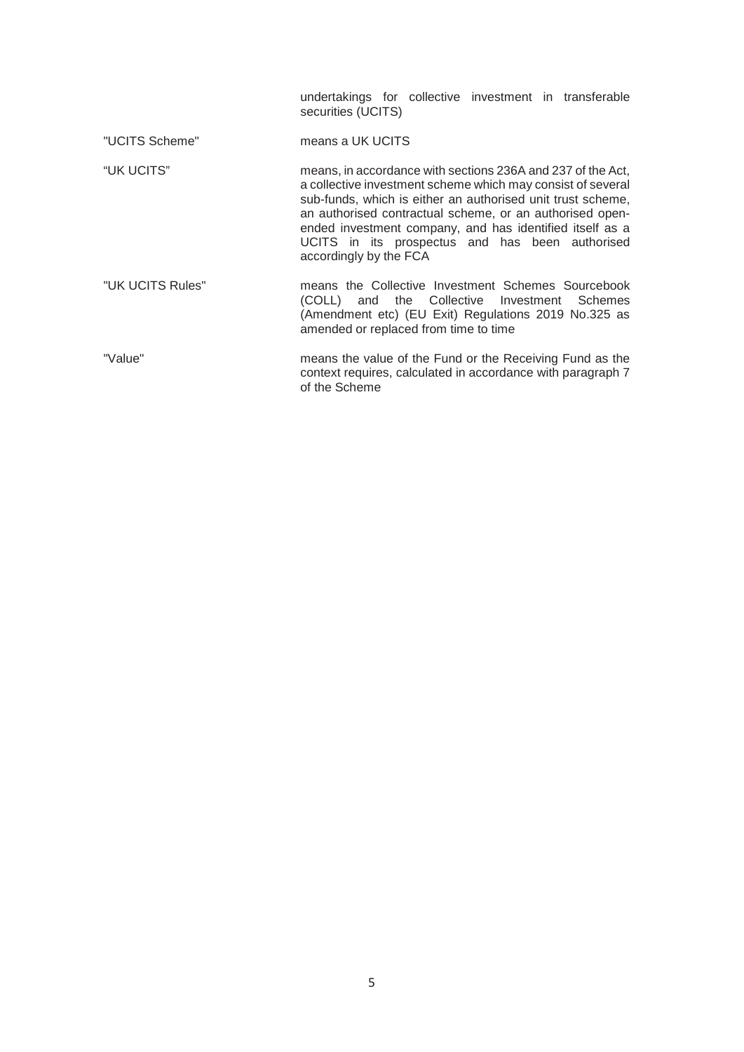|                  | undertakings for collective investment in transferable<br>securities (UCITS)                                                                                                                                                                                                                                                                                                                   |
|------------------|------------------------------------------------------------------------------------------------------------------------------------------------------------------------------------------------------------------------------------------------------------------------------------------------------------------------------------------------------------------------------------------------|
| "UCITS Scheme"   | means a UK UCITS                                                                                                                                                                                                                                                                                                                                                                               |
| "UK UCITS"       | means, in accordance with sections 236A and 237 of the Act,<br>a collective investment scheme which may consist of several<br>sub-funds, which is either an authorised unit trust scheme,<br>an authorised contractual scheme, or an authorised open-<br>ended investment company, and has identified itself as a<br>UCITS in its prospectus and has been authorised<br>accordingly by the FCA |
| "UK UCITS Rules" | means the Collective Investment Schemes Sourcebook<br>(COLL) and the Collective Investment Schemes<br>(Amendment etc) (EU Exit) Regulations 2019 No.325 as<br>amended or replaced from time to time                                                                                                                                                                                            |
| "Value"          | means the value of the Fund or the Receiving Fund as the<br>context requires, calculated in accordance with paragraph 7<br>of the Scheme                                                                                                                                                                                                                                                       |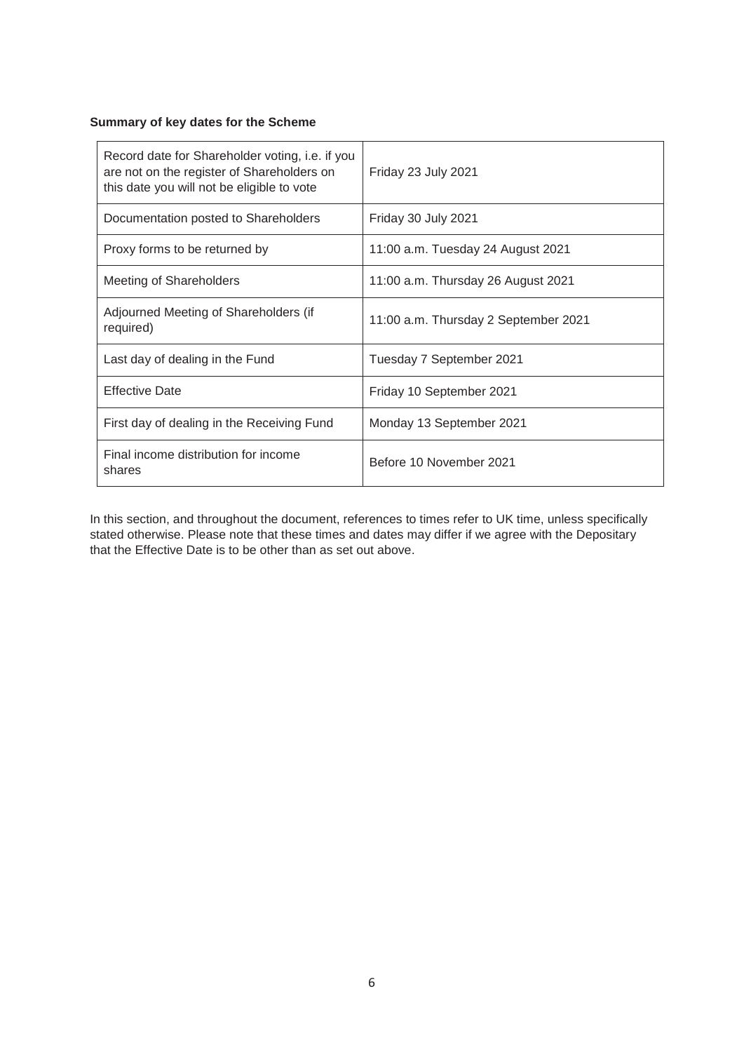# **Summary of key dates for the Scheme**

| Record date for Shareholder voting, i.e. if you<br>are not on the register of Shareholders on<br>this date you will not be eligible to vote | Friday 23 July 2021                  |
|---------------------------------------------------------------------------------------------------------------------------------------------|--------------------------------------|
| Documentation posted to Shareholders                                                                                                        | Friday 30 July 2021                  |
| Proxy forms to be returned by                                                                                                               | 11:00 a.m. Tuesday 24 August 2021    |
| Meeting of Shareholders                                                                                                                     | 11:00 a.m. Thursday 26 August 2021   |
| Adjourned Meeting of Shareholders (if<br>required)                                                                                          | 11:00 a.m. Thursday 2 September 2021 |
| Last day of dealing in the Fund                                                                                                             | Tuesday 7 September 2021             |
| <b>Effective Date</b>                                                                                                                       | Friday 10 September 2021             |
| First day of dealing in the Receiving Fund                                                                                                  | Monday 13 September 2021             |
| Final income distribution for income<br>shares                                                                                              | Before 10 November 2021              |

In this section, and throughout the document, references to times refer to UK time, unless specifically stated otherwise. Please note that these times and dates may differ if we agree with the Depositary that the Effective Date is to be other than as set out above.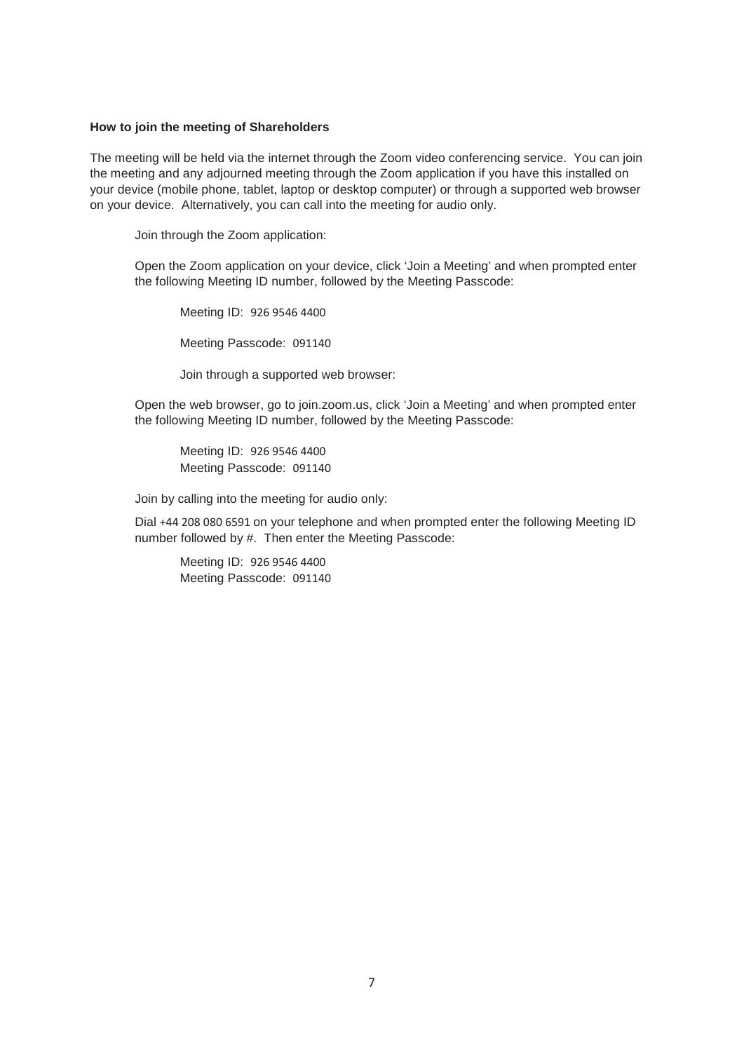# **How to join the meeting of Shareholders**

The meeting will be held via the internet through the Zoom video conferencing service. You can join the meeting and any adjourned meeting through the Zoom application if you have this installed on your device (mobile phone, tablet, laptop or desktop computer) or through a supported web browser on your device. Alternatively, you can call into the meeting for audio only.

Join through the Zoom application:

Open the Zoom application on your device, click 'Join a Meeting' and when prompted enter the following Meeting ID number, followed by the Meeting Passcode:

Meeting ID: 926 9546 4400

Meeting Passcode: 091140

Join through a supported web browser:

Open the web browser, go to join.zoom.us, click 'Join a Meeting' and when prompted enter the following Meeting ID number, followed by the Meeting Passcode:

Meeting ID: 926 9546 4400 Meeting Passcode: 091140

Join by calling into the meeting for audio only:

Dial +44 208 080 6591 on your telephone and when prompted enter the following Meeting ID number followed by #. Then enter the Meeting Passcode:

Meeting ID: 926 9546 4400 Meeting Passcode: 091140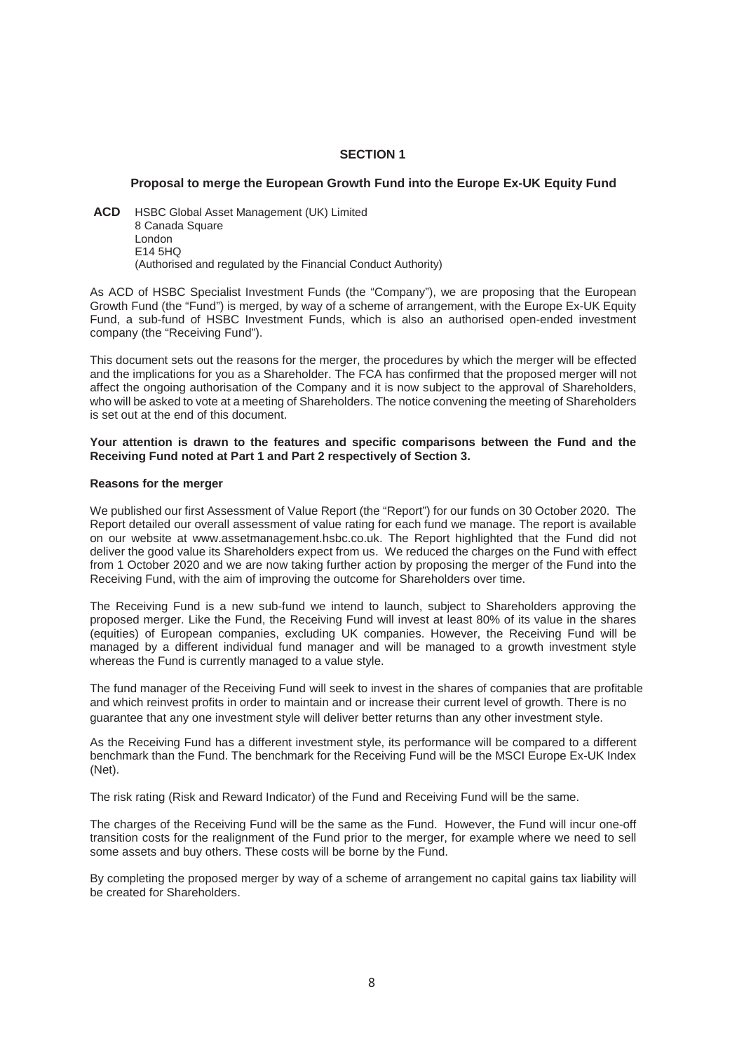# **SECTION 1**

# **Proposal to merge the European Growth Fund into the Europe Ex-UK Equity Fund**

**ACD** HSBC Global Asset Management (UK) Limited 8 Canada Square London E14 5HQ (Authorised and regulated by the Financial Conduct Authority)

As ACD of HSBC Specialist Investment Funds (the "Company"), we are proposing that the European Growth Fund (the "Fund") is merged, by way of a scheme of arrangement, with the Europe Ex-UK Equity Fund, a sub-fund of HSBC Investment Funds, which is also an authorised open-ended investment company (the "Receiving Fund").

This document sets out the reasons for the merger, the procedures by which the merger will be effected and the implications for you as a Shareholder. The FCA has confirmed that the proposed merger will not affect the ongoing authorisation of the Company and it is now subject to the approval of Shareholders, who will be asked to vote at a meeting of Shareholders. The notice convening the meeting of Shareholders is set out at the end of this document.

#### **Your attention is drawn to the features and specific comparisons between the Fund and the Receiving Fund noted at Part 1 and Part 2 respectively of Section 3.**

# **Reasons for the merger**

We published our first Assessment of Value Report (the "Report") for our funds on 30 October 2020. The Report detailed our overall assessment of value rating for each fund we manage. The report is available on our website at www.assetmanagement.hsbc.co.uk. The Report highlighted that the Fund did not deliver the good value its Shareholders expect from us. We reduced the charges on the Fund with effect from 1 October 2020 and we are now taking further action by proposing the merger of the Fund into the Receiving Fund, with the aim of improving the outcome for Shareholders over time.

The Receiving Fund is a new sub-fund we intend to launch, subject to Shareholders approving the proposed merger. Like the Fund, the Receiving Fund will invest at least 80% of its value in the shares (equities) of European companies, excluding UK companies. However, the Receiving Fund will be managed by a different individual fund manager and will be managed to a growth investment style whereas the Fund is currently managed to a value style.

The fund manager of the Receiving Fund will seek to invest in the shares of companies that are profitable and which reinvest profits in order to maintain and or increase their current level of growth. There is no guarantee that any one investment style will deliver better returns than any other investment style.

As the Receiving Fund has a different investment style, its performance will be compared to a different benchmark than the Fund. The benchmark for the Receiving Fund will be the MSCI Europe Ex-UK Index (Net).

The risk rating (Risk and Reward Indicator) of the Fund and Receiving Fund will be the same.

The charges of the Receiving Fund will be the same as the Fund. However, the Fund will incur one-off transition costs for the realignment of the Fund prior to the merger, for example where we need to sell some assets and buy others. These costs will be borne by the Fund.

By completing the proposed merger by way of a scheme of arrangement no capital gains tax liability will be created for Shareholders.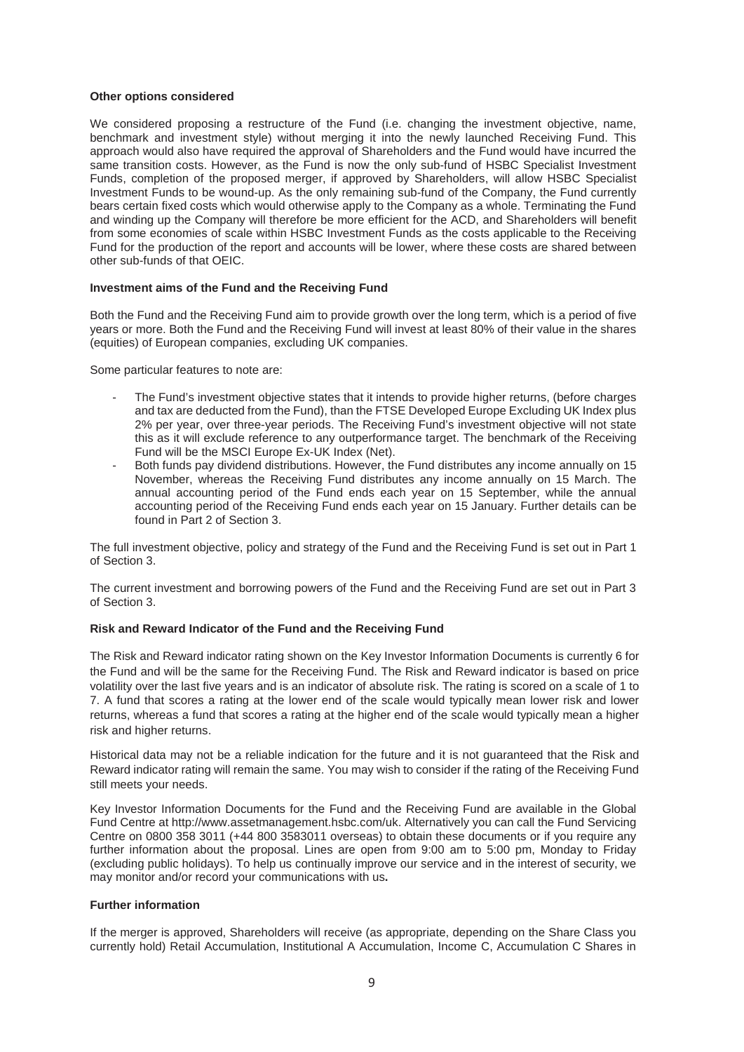# **Other options considered**

We considered proposing a restructure of the Fund (i.e. changing the investment objective, name, benchmark and investment style) without merging it into the newly launched Receiving Fund. This approach would also have required the approval of Shareholders and the Fund would have incurred the same transition costs. However, as the Fund is now the only sub-fund of HSBC Specialist Investment Funds, completion of the proposed merger, if approved by Shareholders, will allow HSBC Specialist Investment Funds to be wound-up. As the only remaining sub-fund of the Company, the Fund currently bears certain fixed costs which would otherwise apply to the Company as a whole. Terminating the Fund and winding up the Company will therefore be more efficient for the ACD, and Shareholders will benefit from some economies of scale within HSBC Investment Funds as the costs applicable to the Receiving Fund for the production of the report and accounts will be lower, where these costs are shared between other sub-funds of that OEIC.

# **Investment aims of the Fund and the Receiving Fund**

Both the Fund and the Receiving Fund aim to provide growth over the long term, which is a period of five years or more. Both the Fund and the Receiving Fund will invest at least 80% of their value in the shares (equities) of European companies, excluding UK companies.

Some particular features to note are:

- The Fund's investment objective states that it intends to provide higher returns, (before charges and tax are deducted from the Fund), than the FTSE Developed Europe Excluding UK Index plus 2% per year, over three-year periods. The Receiving Fund's investment objective will not state this as it will exclude reference to any outperformance target. The benchmark of the Receiving Fund will be the MSCI Europe Ex-UK Index (Net).
- Both funds pay dividend distributions. However, the Fund distributes any income annually on 15 November, whereas the Receiving Fund distributes any income annually on 15 March. The annual accounting period of the Fund ends each year on 15 September, while the annual accounting period of the Receiving Fund ends each year on 15 January. Further details can be found in Part 2 of Section 3.

The full investment objective, policy and strategy of the Fund and the Receiving Fund is set out in Part 1 of Section 3.

The current investment and borrowing powers of the Fund and the Receiving Fund are set out in Part 3 of Section 3.

#### **Risk and Reward Indicator of the Fund and the Receiving Fund**

The Risk and Reward indicator rating shown on the Key Investor Information Documents is currently 6 for the Fund and will be the same for the Receiving Fund. The Risk and Reward indicator is based on price volatility over the last five years and is an indicator of absolute risk. The rating is scored on a scale of 1 to 7. A fund that scores a rating at the lower end of the scale would typically mean lower risk and lower returns, whereas a fund that scores a rating at the higher end of the scale would typically mean a higher risk and higher returns.

Historical data may not be a reliable indication for the future and it is not guaranteed that the Risk and Reward indicator rating will remain the same. You may wish to consider if the rating of the Receiving Fund still meets your needs.

Key Investor Information Documents for the Fund and the Receiving Fund are available in the Global Fund Centre at http://www.assetmanagement.hsbc.com/uk. Alternatively you can call the Fund Servicing Centre on 0800 358 3011 (+44 800 3583011 overseas) to obtain these documents or if you require any further information about the proposal. Lines are open from 9:00 am to 5:00 pm, Monday to Friday (excluding public holidays). To help us continually improve our service and in the interest of security, we may monitor and/or record your communications with us**.** 

#### **Further information**

If the merger is approved, Shareholders will receive (as appropriate, depending on the Share Class you currently hold) Retail Accumulation, Institutional A Accumulation, Income C, Accumulation C Shares in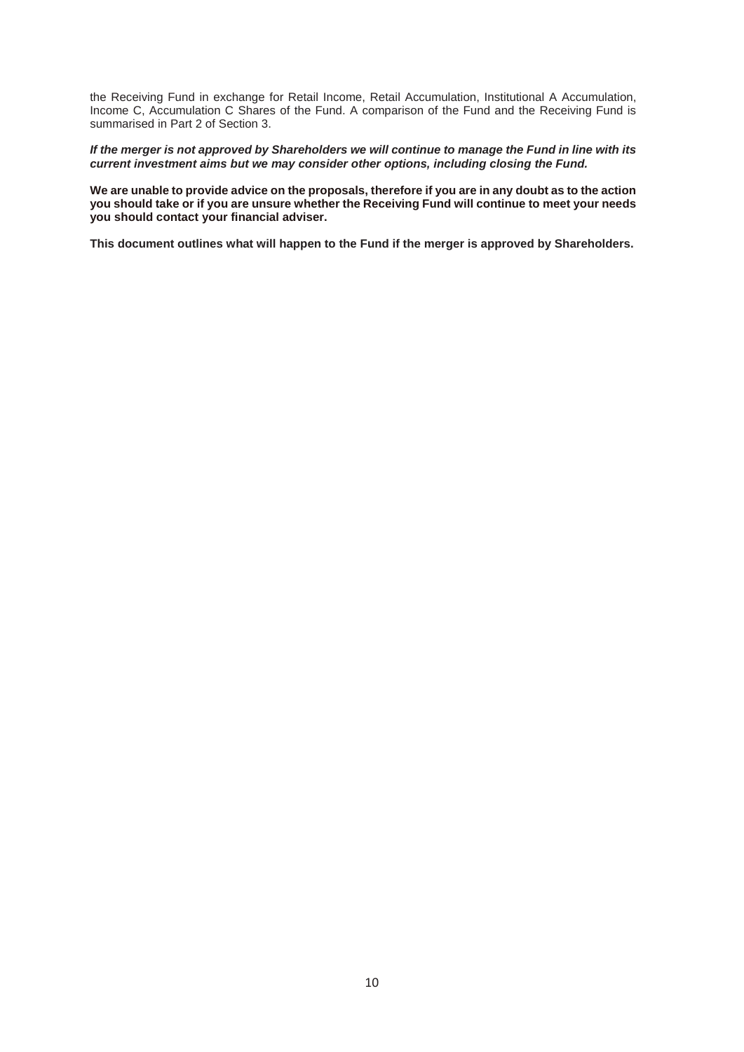the Receiving Fund in exchange for Retail Income, Retail Accumulation, Institutional A Accumulation, Income C, Accumulation C Shares of the Fund. A comparison of the Fund and the Receiving Fund is summarised in Part 2 of Section 3.

*If the merger is not approved by Shareholders we will continue to manage the Fund in line with its current investment aims but we may consider other options, including closing the Fund.* 

**We are unable to provide advice on the proposals, therefore if you are in any doubt as to the action you should take or if you are unsure whether the Receiving Fund will continue to meet your needs you should contact your financial adviser.**

**This document outlines what will happen to the Fund if the merger is approved by Shareholders.**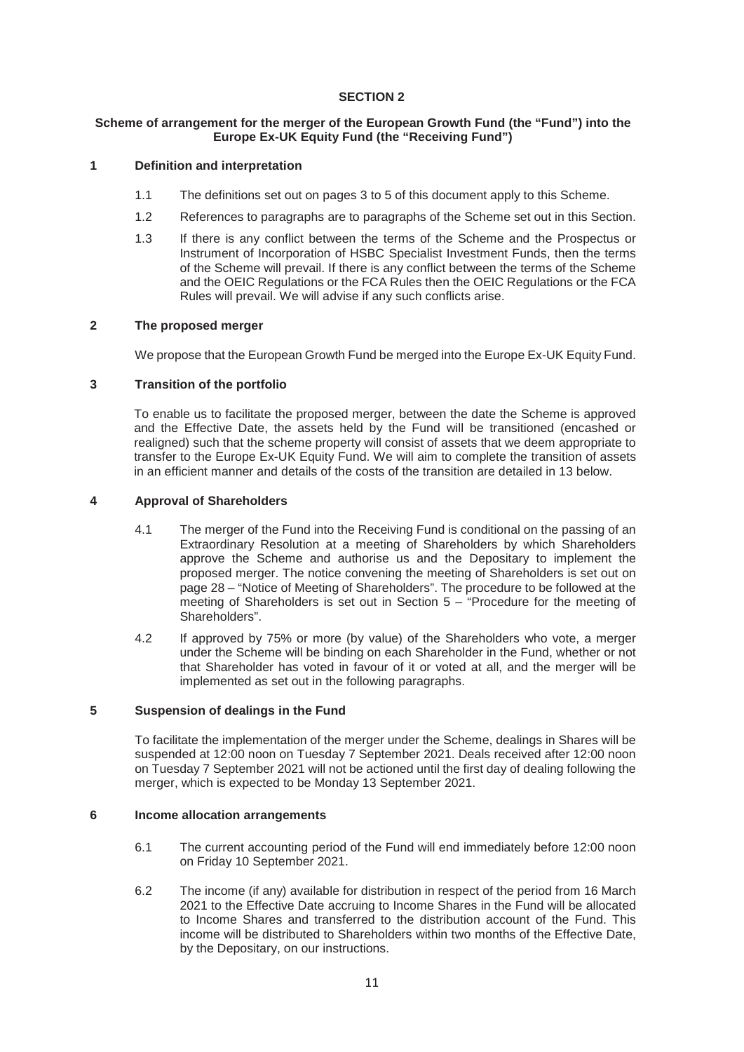# **SECTION 2**

# **Scheme of arrangement for the merger of the European Growth Fund (the "Fund") into the Europe Ex-UK Equity Fund (the "Receiving Fund")**

# **1 Definition and interpretation**

- 1.1 The definitions set out on pages 3 to 5 of this document apply to this Scheme.
- 1.2 References to paragraphs are to paragraphs of the Scheme set out in this Section.
- 1.3 If there is any conflict between the terms of the Scheme and the Prospectus or Instrument of Incorporation of HSBC Specialist Investment Funds, then the terms of the Scheme will prevail. If there is any conflict between the terms of the Scheme and the OEIC Regulations or the FCA Rules then the OEIC Regulations or the FCA Rules will prevail. We will advise if any such conflicts arise.

# **2 The proposed merger**

We propose that the European Growth Fund be merged into the Europe Ex-UK Equity Fund.

# **3 Transition of the portfolio**

To enable us to facilitate the proposed merger, between the date the Scheme is approved and the Effective Date, the assets held by the Fund will be transitioned (encashed or realigned) such that the scheme property will consist of assets that we deem appropriate to transfer to the Europe Ex-UK Equity Fund. We will aim to complete the transition of assets in an efficient manner and details of the costs of the transition are detailed in 13 below.

# **4 Approval of Shareholders**

- 4.1 The merger of the Fund into the Receiving Fund is conditional on the passing of an Extraordinary Resolution at a meeting of Shareholders by which Shareholders approve the Scheme and authorise us and the Depositary to implement the proposed merger. The notice convening the meeting of Shareholders is set out on page 28 – "Notice of Meeting of Shareholders". The procedure to be followed at the meeting of Shareholders is set out in Section 5 – "Procedure for the meeting of Shareholders".
- 4.2 If approved by 75% or more (by value) of the Shareholders who vote, a merger under the Scheme will be binding on each Shareholder in the Fund, whether or not that Shareholder has voted in favour of it or voted at all, and the merger will be implemented as set out in the following paragraphs.

# **5 Suspension of dealings in the Fund**

To facilitate the implementation of the merger under the Scheme, dealings in Shares will be suspended at 12:00 noon on Tuesday 7 September 2021. Deals received after 12:00 noon on Tuesday 7 September 2021 will not be actioned until the first day of dealing following the merger, which is expected to be Monday 13 September 2021.

# **6 Income allocation arrangements**

- 6.1 The current accounting period of the Fund will end immediately before 12:00 noon on Friday 10 September 2021.
- 6.2 The income (if any) available for distribution in respect of the period from 16 March 2021 to the Effective Date accruing to Income Shares in the Fund will be allocated to Income Shares and transferred to the distribution account of the Fund. This income will be distributed to Shareholders within two months of the Effective Date, by the Depositary, on our instructions.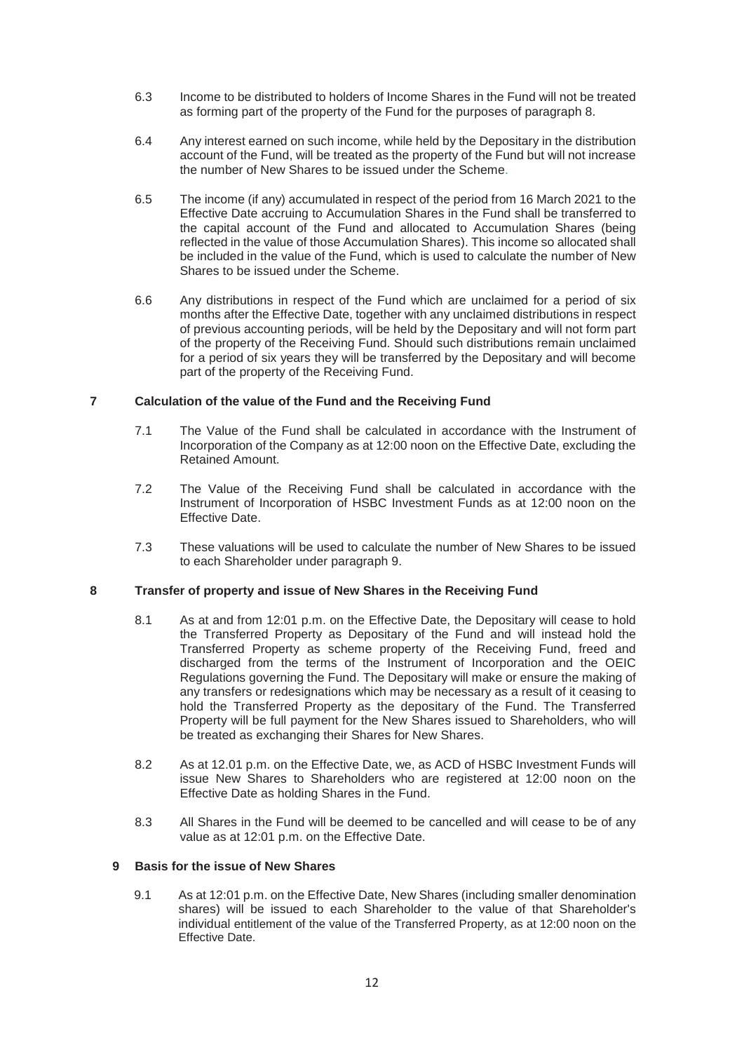- 6.3 Income to be distributed to holders of Income Shares in the Fund will not be treated as forming part of the property of the Fund for the purposes of paragraph 8.
- 6.4 Any interest earned on such income, while held by the Depositary in the distribution account of the Fund, will be treated as the property of the Fund but will not increase the number of New Shares to be issued under the Scheme.
- 6.5 The income (if any) accumulated in respect of the period from 16 March 2021 to the Effective Date accruing to Accumulation Shares in the Fund shall be transferred to the capital account of the Fund and allocated to Accumulation Shares (being reflected in the value of those Accumulation Shares). This income so allocated shall be included in the value of the Fund, which is used to calculate the number of New Shares to be issued under the Scheme.
- 6.6 Any distributions in respect of the Fund which are unclaimed for a period of six months after the Effective Date, together with any unclaimed distributions in respect of previous accounting periods, will be held by the Depositary and will not form part of the property of the Receiving Fund. Should such distributions remain unclaimed for a period of six years they will be transferred by the Depositary and will become part of the property of the Receiving Fund.

# **7 Calculation of the value of the Fund and the Receiving Fund**

- 7.1 The Value of the Fund shall be calculated in accordance with the Instrument of Incorporation of the Company as at 12:00 noon on the Effective Date, excluding the Retained Amount.
- 7.2 The Value of the Receiving Fund shall be calculated in accordance with the Instrument of Incorporation of HSBC Investment Funds as at 12:00 noon on the Effective Date.
- 7.3 These valuations will be used to calculate the number of New Shares to be issued to each Shareholder under paragraph 9.

# **8 Transfer of property and issue of New Shares in the Receiving Fund**

- 8.1 As at and from 12:01 p.m. on the Effective Date, the Depositary will cease to hold the Transferred Property as Depositary of the Fund and will instead hold the Transferred Property as scheme property of the Receiving Fund, freed and discharged from the terms of the Instrument of Incorporation and the OEIC Regulations governing the Fund. The Depositary will make or ensure the making of any transfers or redesignations which may be necessary as a result of it ceasing to hold the Transferred Property as the depositary of the Fund. The Transferred Property will be full payment for the New Shares issued to Shareholders, who will be treated as exchanging their Shares for New Shares.
- 8.2 As at 12.01 p.m. on the Effective Date, we, as ACD of HSBC Investment Funds will issue New Shares to Shareholders who are registered at 12:00 noon on the Effective Date as holding Shares in the Fund.
- 8.3 All Shares in the Fund will be deemed to be cancelled and will cease to be of any value as at 12:01 p.m. on the Effective Date.

# **9 Basis for the issue of New Shares**

9.1 As at 12:01 p.m. on the Effective Date, New Shares (including smaller denomination shares) will be issued to each Shareholder to the value of that Shareholder's individual entitlement of the value of the Transferred Property, as at 12:00 noon on the Effective Date.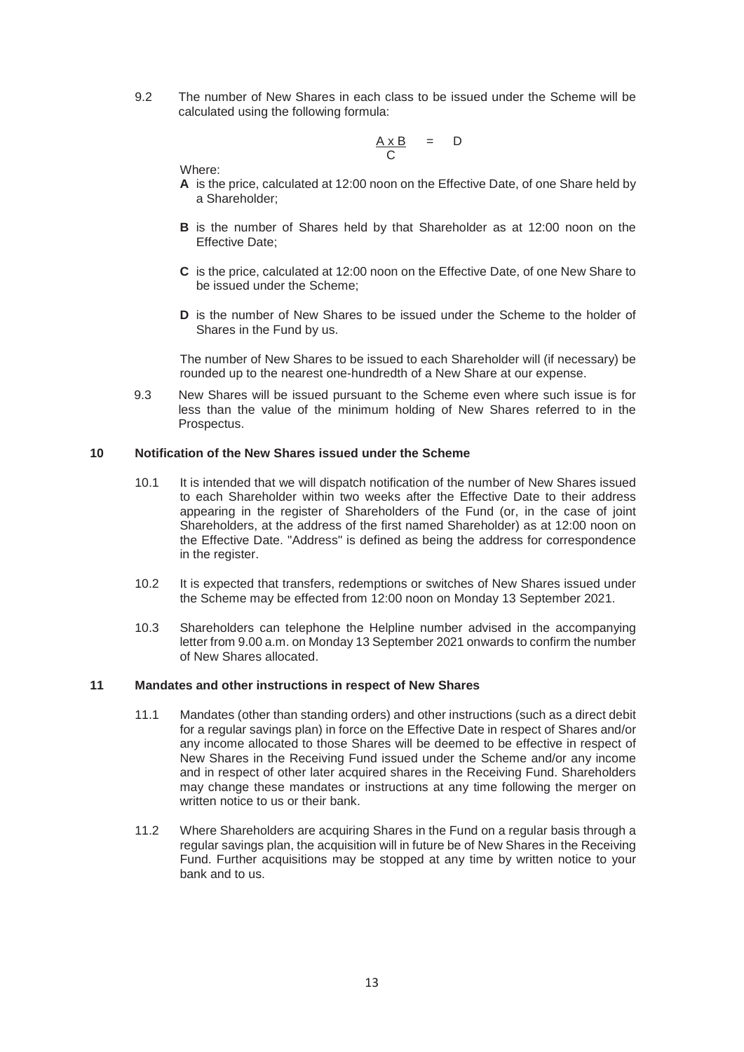9.2 The number of New Shares in each class to be issued under the Scheme will be calculated using the following formula:

$$
\frac{A \times B}{C} = D
$$

Where:

- **A** is the price, calculated at 12:00 noon on the Effective Date, of one Share held by a Shareholder;
- **B** is the number of Shares held by that Shareholder as at 12:00 noon on the Effective Date;
- **C** is the price, calculated at 12:00 noon on the Effective Date, of one New Share to be issued under the Scheme;
- **D** is the number of New Shares to be issued under the Scheme to the holder of Shares in the Fund by us.

The number of New Shares to be issued to each Shareholder will (if necessary) be rounded up to the nearest one-hundredth of a New Share at our expense.

9.3 New Shares will be issued pursuant to the Scheme even where such issue is for less than the value of the minimum holding of New Shares referred to in the Prospectus.

# **10 Notification of the New Shares issued under the Scheme**

- 10.1 It is intended that we will dispatch notification of the number of New Shares issued to each Shareholder within two weeks after the Effective Date to their address appearing in the register of Shareholders of the Fund (or, in the case of joint Shareholders, at the address of the first named Shareholder) as at 12:00 noon on the Effective Date. "Address" is defined as being the address for correspondence in the register.
- 10.2 It is expected that transfers, redemptions or switches of New Shares issued under the Scheme may be effected from 12:00 noon on Monday 13 September 2021.
- 10.3 Shareholders can telephone the Helpline number advised in the accompanying letter from 9.00 a.m. on Monday 13 September 2021 onwards to confirm the number of New Shares allocated.

# **11 Mandates and other instructions in respect of New Shares**

- 11.1 Mandates (other than standing orders) and other instructions (such as a direct debit for a regular savings plan) in force on the Effective Date in respect of Shares and/or any income allocated to those Shares will be deemed to be effective in respect of New Shares in the Receiving Fund issued under the Scheme and/or any income and in respect of other later acquired shares in the Receiving Fund. Shareholders may change these mandates or instructions at any time following the merger on written notice to us or their bank.
- 11.2 Where Shareholders are acquiring Shares in the Fund on a regular basis through a regular savings plan, the acquisition will in future be of New Shares in the Receiving Fund. Further acquisitions may be stopped at any time by written notice to your bank and to us.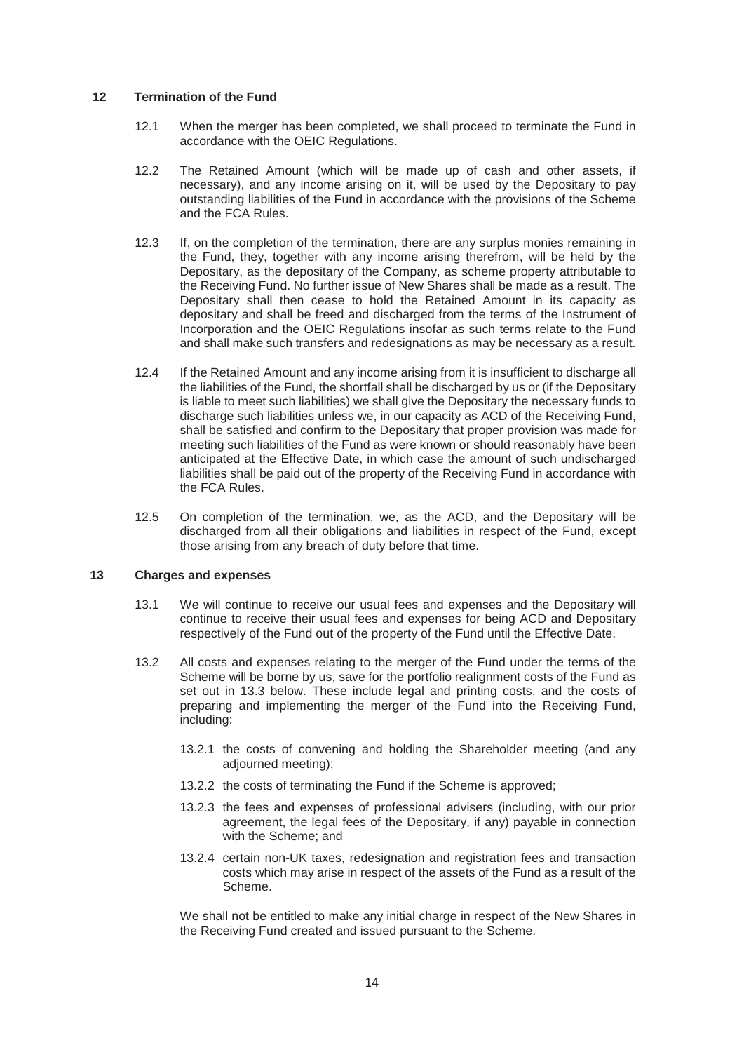# **12 Termination of the Fund**

- 12.1 When the merger has been completed, we shall proceed to terminate the Fund in accordance with the OEIC Regulations.
- 12.2 The Retained Amount (which will be made up of cash and other assets, if necessary), and any income arising on it, will be used by the Depositary to pay outstanding liabilities of the Fund in accordance with the provisions of the Scheme and the FCA Rules.
- 12.3 If, on the completion of the termination, there are any surplus monies remaining in the Fund, they, together with any income arising therefrom, will be held by the Depositary, as the depositary of the Company, as scheme property attributable to the Receiving Fund. No further issue of New Shares shall be made as a result. The Depositary shall then cease to hold the Retained Amount in its capacity as depositary and shall be freed and discharged from the terms of the Instrument of Incorporation and the OEIC Regulations insofar as such terms relate to the Fund and shall make such transfers and redesignations as may be necessary as a result.
- 12.4 If the Retained Amount and any income arising from it is insufficient to discharge all the liabilities of the Fund, the shortfall shall be discharged by us or (if the Depositary is liable to meet such liabilities) we shall give the Depositary the necessary funds to discharge such liabilities unless we, in our capacity as ACD of the Receiving Fund, shall be satisfied and confirm to the Depositary that proper provision was made for meeting such liabilities of the Fund as were known or should reasonably have been anticipated at the Effective Date, in which case the amount of such undischarged liabilities shall be paid out of the property of the Receiving Fund in accordance with the FCA Rules.
- 12.5 On completion of the termination, we, as the ACD, and the Depositary will be discharged from all their obligations and liabilities in respect of the Fund, except those arising from any breach of duty before that time.

# **13 Charges and expenses**

- 13.1 We will continue to receive our usual fees and expenses and the Depositary will continue to receive their usual fees and expenses for being ACD and Depositary respectively of the Fund out of the property of the Fund until the Effective Date.
- 13.2 All costs and expenses relating to the merger of the Fund under the terms of the Scheme will be borne by us, save for the portfolio realignment costs of the Fund as set out in 13.3 below. These include legal and printing costs, and the costs of preparing and implementing the merger of the Fund into the Receiving Fund, including:
	- 13.2.1 the costs of convening and holding the Shareholder meeting (and any adjourned meeting);
	- 13.2.2 the costs of terminating the Fund if the Scheme is approved;
	- 13.2.3 the fees and expenses of professional advisers (including, with our prior agreement, the legal fees of the Depositary, if any) payable in connection with the Scheme; and
	- 13.2.4 certain non-UK taxes, redesignation and registration fees and transaction costs which may arise in respect of the assets of the Fund as a result of the Scheme.

We shall not be entitled to make any initial charge in respect of the New Shares in the Receiving Fund created and issued pursuant to the Scheme.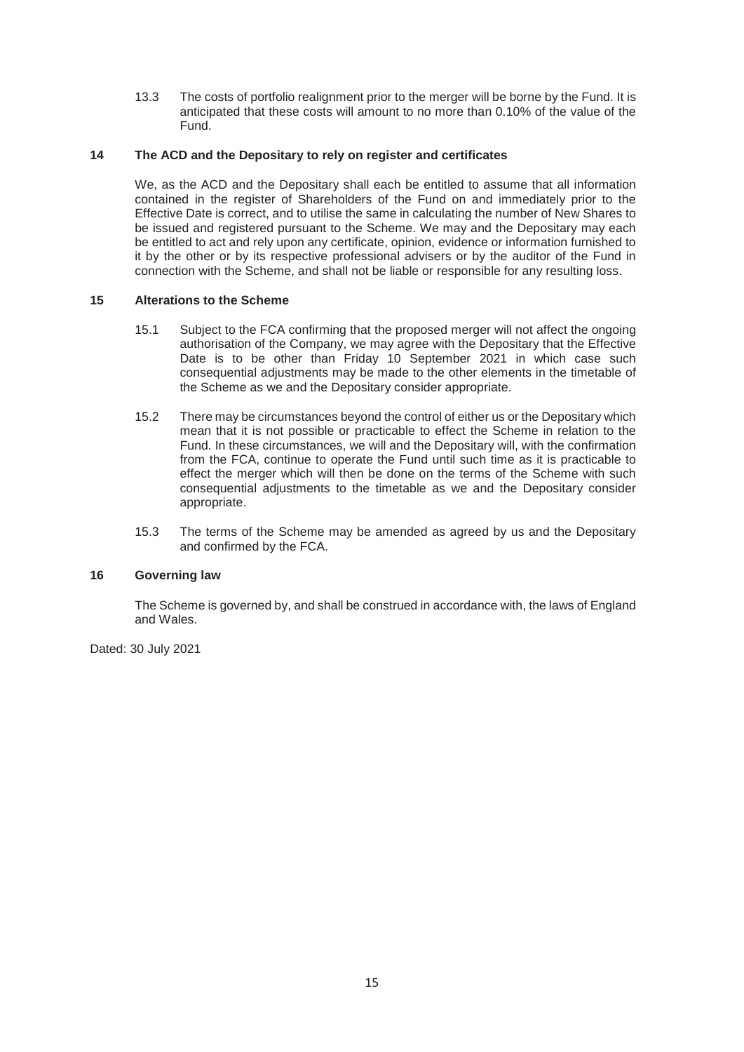13.3 The costs of portfolio realignment prior to the merger will be borne by the Fund. It is anticipated that these costs will amount to no more than 0.10% of the value of the Fund.

# **14 The ACD and the Depositary to rely on register and certificates**

We, as the ACD and the Depositary shall each be entitled to assume that all information contained in the register of Shareholders of the Fund on and immediately prior to the Effective Date is correct, and to utilise the same in calculating the number of New Shares to be issued and registered pursuant to the Scheme. We may and the Depositary may each be entitled to act and rely upon any certificate, opinion, evidence or information furnished to it by the other or by its respective professional advisers or by the auditor of the Fund in connection with the Scheme, and shall not be liable or responsible for any resulting loss.

# **15 Alterations to the Scheme**

- 15.1 Subject to the FCA confirming that the proposed merger will not affect the ongoing authorisation of the Company, we may agree with the Depositary that the Effective Date is to be other than Friday 10 September 2021 in which case such consequential adjustments may be made to the other elements in the timetable of the Scheme as we and the Depositary consider appropriate.
- 15.2 There may be circumstances beyond the control of either us or the Depositary which mean that it is not possible or practicable to effect the Scheme in relation to the Fund. In these circumstances, we will and the Depositary will, with the confirmation from the FCA, continue to operate the Fund until such time as it is practicable to effect the merger which will then be done on the terms of the Scheme with such consequential adjustments to the timetable as we and the Depositary consider appropriate.
- 15.3 The terms of the Scheme may be amended as agreed by us and the Depositary and confirmed by the FCA.

# **16 Governing law**

The Scheme is governed by, and shall be construed in accordance with, the laws of England and Wales.

Dated: 30 July 2021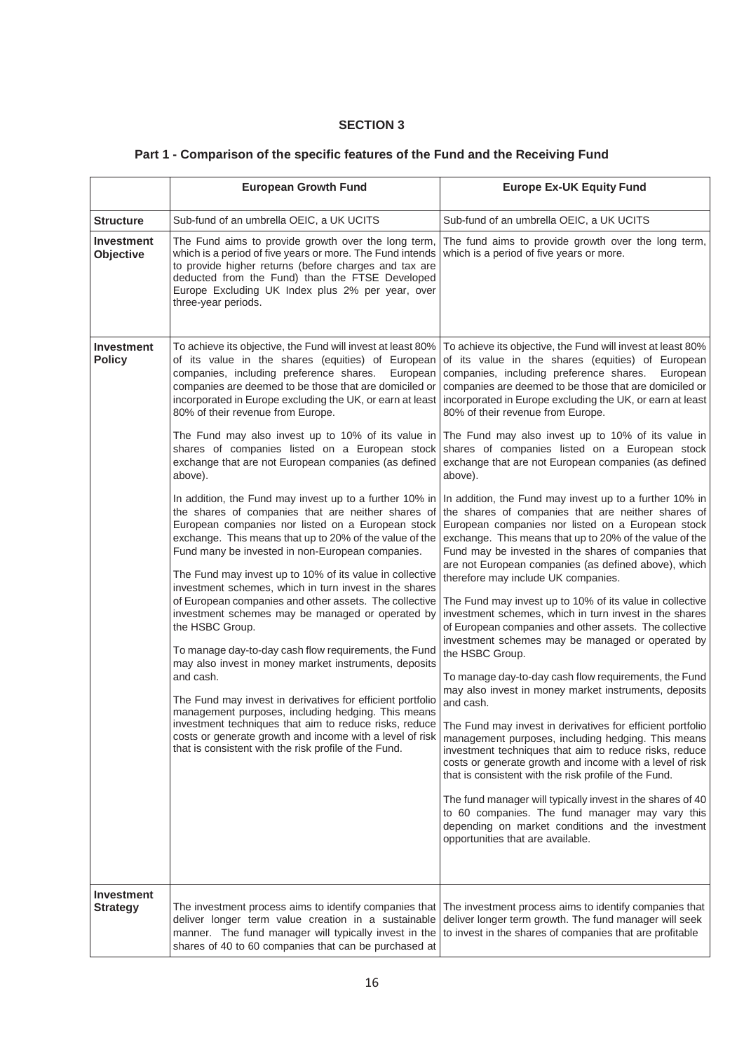# **SECTION 3**

|                                      | <b>European Growth Fund</b>                                                                                                                                                                                                                                                                                                                                                                                                                                                                                                                                                                                                                                                                                                                                                                                                                                                                                                                                                                                                                                                                                                                                                                                                                                                                                                                                                                                                        | <b>Europe Ex-UK Equity Fund</b>                                                                                                                                                                                                                                                                                                                                                                                                                                                                                                                                                                                                                                                                                                                                                                                                                                                                                                                                                                                                                                                                                                                                                                                                                                                                                                                                                                                                                                                                                                                                                                                                                                                                                                                                                                                                                                     |
|--------------------------------------|------------------------------------------------------------------------------------------------------------------------------------------------------------------------------------------------------------------------------------------------------------------------------------------------------------------------------------------------------------------------------------------------------------------------------------------------------------------------------------------------------------------------------------------------------------------------------------------------------------------------------------------------------------------------------------------------------------------------------------------------------------------------------------------------------------------------------------------------------------------------------------------------------------------------------------------------------------------------------------------------------------------------------------------------------------------------------------------------------------------------------------------------------------------------------------------------------------------------------------------------------------------------------------------------------------------------------------------------------------------------------------------------------------------------------------|---------------------------------------------------------------------------------------------------------------------------------------------------------------------------------------------------------------------------------------------------------------------------------------------------------------------------------------------------------------------------------------------------------------------------------------------------------------------------------------------------------------------------------------------------------------------------------------------------------------------------------------------------------------------------------------------------------------------------------------------------------------------------------------------------------------------------------------------------------------------------------------------------------------------------------------------------------------------------------------------------------------------------------------------------------------------------------------------------------------------------------------------------------------------------------------------------------------------------------------------------------------------------------------------------------------------------------------------------------------------------------------------------------------------------------------------------------------------------------------------------------------------------------------------------------------------------------------------------------------------------------------------------------------------------------------------------------------------------------------------------------------------------------------------------------------------------------------------------------------------|
| <b>Structure</b>                     | Sub-fund of an umbrella OEIC, a UK UCITS                                                                                                                                                                                                                                                                                                                                                                                                                                                                                                                                                                                                                                                                                                                                                                                                                                                                                                                                                                                                                                                                                                                                                                                                                                                                                                                                                                                           | Sub-fund of an umbrella OEIC, a UK UCITS                                                                                                                                                                                                                                                                                                                                                                                                                                                                                                                                                                                                                                                                                                                                                                                                                                                                                                                                                                                                                                                                                                                                                                                                                                                                                                                                                                                                                                                                                                                                                                                                                                                                                                                                                                                                                            |
| <b>Investment</b><br>Objective       | The Fund aims to provide growth over the long term,<br>which is a period of five years or more. The Fund intends<br>to provide higher returns (before charges and tax are<br>deducted from the Fund) than the FTSE Developed<br>Europe Excluding UK Index plus 2% per year, over<br>three-year periods.                                                                                                                                                                                                                                                                                                                                                                                                                                                                                                                                                                                                                                                                                                                                                                                                                                                                                                                                                                                                                                                                                                                            | The fund aims to provide growth over the long term,<br>which is a period of five years or more.                                                                                                                                                                                                                                                                                                                                                                                                                                                                                                                                                                                                                                                                                                                                                                                                                                                                                                                                                                                                                                                                                                                                                                                                                                                                                                                                                                                                                                                                                                                                                                                                                                                                                                                                                                     |
| Investment<br><b>Policy</b>          | To achieve its objective, the Fund will invest at least 80%<br>of its value in the shares (equities) of European<br>companies, including preference shares.<br>European<br>companies are deemed to be those that are domiciled or<br>incorporated in Europe excluding the UK, or earn at least<br>80% of their revenue from Europe.<br>The Fund may also invest up to 10% of its value in<br>shares of companies listed on a European stock<br>exchange that are not European companies (as defined<br>above).<br>In addition, the Fund may invest up to a further 10% in<br>the shares of companies that are neither shares of<br>European companies nor listed on a European stock<br>exchange. This means that up to 20% of the value of the<br>Fund many be invested in non-European companies.<br>The Fund may invest up to 10% of its value in collective<br>investment schemes, which in turn invest in the shares<br>of European companies and other assets. The collective<br>investment schemes may be managed or operated by<br>the HSBC Group.<br>To manage day-to-day cash flow requirements, the Fund<br>may also invest in money market instruments, deposits<br>and cash.<br>The Fund may invest in derivatives for efficient portfolio<br>management purposes, including hedging. This means<br>costs or generate growth and income with a level of risk<br>that is consistent with the risk profile of the Fund. | To achieve its objective, the Fund will invest at least 80%<br>of its value in the shares (equities) of European<br>companies, including preference shares.<br>European<br>companies are deemed to be those that are domiciled or<br>incorporated in Europe excluding the UK, or earn at least<br>80% of their revenue from Europe.<br>The Fund may also invest up to 10% of its value in<br>shares of companies listed on a European stock<br>exchange that are not European companies (as defined<br>above).<br>In addition, the Fund may invest up to a further 10% in<br>the shares of companies that are neither shares of<br>European companies nor listed on a European stock<br>exchange. This means that up to 20% of the value of the<br>Fund may be invested in the shares of companies that<br>are not European companies (as defined above), which<br>therefore may include UK companies.<br>The Fund may invest up to 10% of its value in collective<br>investment schemes, which in turn invest in the shares<br>of European companies and other assets. The collective<br>investment schemes may be managed or operated by<br>the HSBC Group.<br>To manage day-to-day cash flow requirements, the Fund<br>may also invest in money market instruments, deposits<br>and cash.<br>investment techniques that aim to reduce risks, reduce   The Fund may invest in derivatives for efficient portfolio<br>management purposes, including hedging. This means<br>investment techniques that aim to reduce risks, reduce<br>costs or generate growth and income with a level of risk<br>that is consistent with the risk profile of the Fund.<br>The fund manager will typically invest in the shares of 40<br>to 60 companies. The fund manager may vary this<br>depending on market conditions and the investment<br>opportunities that are available. |
| <b>Investment</b><br><b>Strategy</b> |                                                                                                                                                                                                                                                                                                                                                                                                                                                                                                                                                                                                                                                                                                                                                                                                                                                                                                                                                                                                                                                                                                                                                                                                                                                                                                                                                                                                                                    | The investment process aims to identify companies that The investment process aims to identify companies that<br>deliver longer term value creation in a sustainable deliver longer term growth. The fund manager will seek                                                                                                                                                                                                                                                                                                                                                                                                                                                                                                                                                                                                                                                                                                                                                                                                                                                                                                                                                                                                                                                                                                                                                                                                                                                                                                                                                                                                                                                                                                                                                                                                                                         |

# **Part 1 - Comparison of the specific features of the Fund and the Receiving Fund**

to invest in the shares of companies that are profitable

manner. The fund manager will typically invest in the shares of 40 to 60 companies that can be purchased at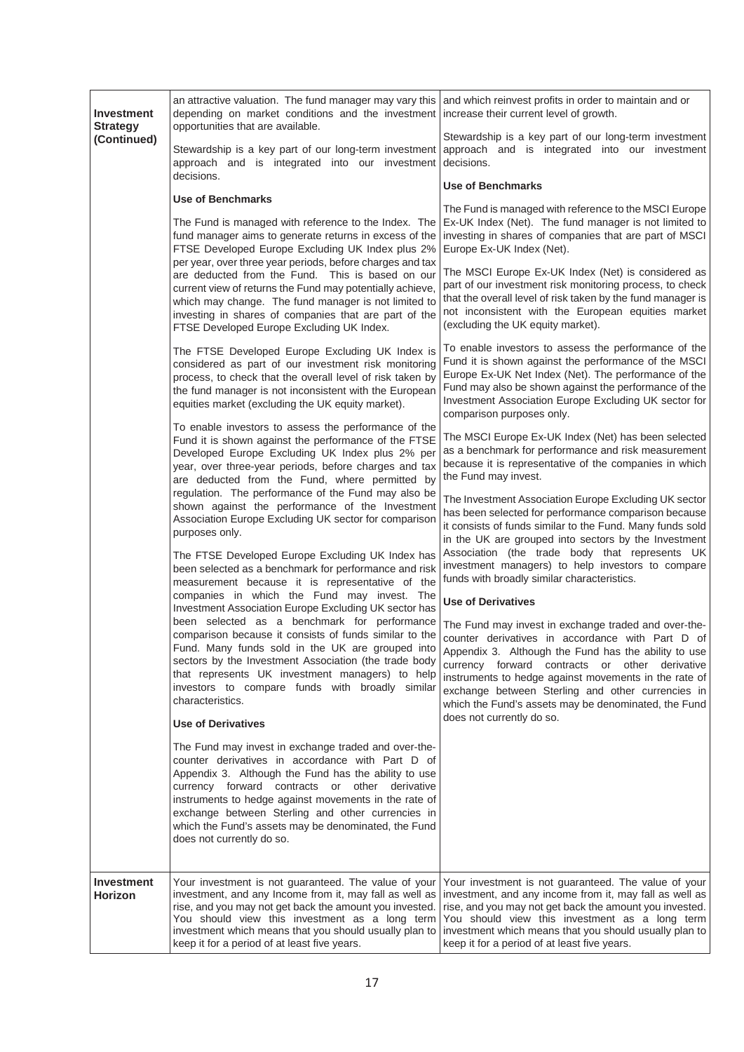| Investment<br><b>Strategy</b> | an attractive valuation. The fund manager may vary this and which reinvest profits in order to maintain and or<br>depending on market conditions and the investment increase their current level of growth.<br>opportunities that are available.                                                                                                                                                                                                                                                                                                                  |                                                                                                                                                                                                                                                                                                                                                                                                                                                                                                                                           |
|-------------------------------|-------------------------------------------------------------------------------------------------------------------------------------------------------------------------------------------------------------------------------------------------------------------------------------------------------------------------------------------------------------------------------------------------------------------------------------------------------------------------------------------------------------------------------------------------------------------|-------------------------------------------------------------------------------------------------------------------------------------------------------------------------------------------------------------------------------------------------------------------------------------------------------------------------------------------------------------------------------------------------------------------------------------------------------------------------------------------------------------------------------------------|
| (Continued)                   | Stewardship is a key part of our long-term investment<br>approach and is integrated into our investment                                                                                                                                                                                                                                                                                                                                                                                                                                                           | Stewardship is a key part of our long-term investment<br>approach and is integrated into our investment<br>decisions.                                                                                                                                                                                                                                                                                                                                                                                                                     |
|                               | decisions.<br><b>Use of Benchmarks</b>                                                                                                                                                                                                                                                                                                                                                                                                                                                                                                                            | <b>Use of Benchmarks</b>                                                                                                                                                                                                                                                                                                                                                                                                                                                                                                                  |
|                               | The Fund is managed with reference to the Index. The<br>fund manager aims to generate returns in excess of the<br>FTSE Developed Europe Excluding UK Index plus 2%<br>per year, over three year periods, before charges and tax<br>are deducted from the Fund. This is based on our<br>current view of returns the Fund may potentially achieve,<br>which may change. The fund manager is not limited to<br>investing in shares of companies that are part of the<br>FTSE Developed Europe Excluding UK Index.<br>The FTSE Developed Europe Excluding UK Index is | The Fund is managed with reference to the MSCI Europe<br>Ex-UK Index (Net). The fund manager is not limited to<br>investing in shares of companies that are part of MSCI<br>Europe Ex-UK Index (Net).<br>The MSCI Europe Ex-UK Index (Net) is considered as<br>part of our investment risk monitoring process, to check<br>that the overall level of risk taken by the fund manager is<br>not inconsistent with the European equities market<br>(excluding the UK equity market).<br>To enable investors to assess the performance of the |
|                               | considered as part of our investment risk monitoring<br>process, to check that the overall level of risk taken by<br>the fund manager is not inconsistent with the European<br>equities market (excluding the UK equity market).                                                                                                                                                                                                                                                                                                                                  | Fund it is shown against the performance of the MSCI<br>Europe Ex-UK Net Index (Net). The performance of the<br>Fund may also be shown against the performance of the<br>Investment Association Europe Excluding UK sector for<br>comparison purposes only.                                                                                                                                                                                                                                                                               |
|                               | To enable investors to assess the performance of the<br>Fund it is shown against the performance of the FTSE<br>Developed Europe Excluding UK Index plus 2% per<br>year, over three-year periods, before charges and tax<br>are deducted from the Fund, where permitted by<br>regulation. The performance of the Fund may also be                                                                                                                                                                                                                                 | The MSCI Europe Ex-UK Index (Net) has been selected<br>as a benchmark for performance and risk measurement<br>because it is representative of the companies in which<br>the Fund may invest.                                                                                                                                                                                                                                                                                                                                              |
|                               | shown against the performance of the Investment<br>Association Europe Excluding UK sector for comparison<br>purposes only.<br>The FTSE Developed Europe Excluding UK Index has<br>been selected as a benchmark for performance and risk                                                                                                                                                                                                                                                                                                                           | The Investment Association Europe Excluding UK sector<br>has been selected for performance comparison because<br>it consists of funds similar to the Fund. Many funds sold<br>in the UK are grouped into sectors by the Investment<br>Association (the trade body that represents UK<br>investment managers) to help investors to compare                                                                                                                                                                                                 |
|                               | measurement because it is representative of the<br>companies in which the Fund may invest. The<br>Investment Association Europe Excluding UK sector has                                                                                                                                                                                                                                                                                                                                                                                                           | funds with broadly similar characteristics.<br><b>Use of Derivatives</b>                                                                                                                                                                                                                                                                                                                                                                                                                                                                  |
|                               | been selected as a benchmark for performance<br>comparison because it consists of funds similar to the<br>Fund. Many funds sold in the UK are grouped into<br>sectors by the Investment Association (the trade body<br>that represents UK investment managers) to help<br>investors to compare funds with broadly similar<br>characteristics.<br><b>Use of Derivatives</b>                                                                                                                                                                                        | The Fund may invest in exchange traded and over-the-<br>counter derivatives in accordance with Part D of<br>Appendix 3. Although the Fund has the ability to use<br>currency forward contracts or other derivative<br>instruments to hedge against movements in the rate of<br>exchange between Sterling and other currencies in<br>which the Fund's assets may be denominated, the Fund<br>does not currently do so.                                                                                                                     |
|                               | The Fund may invest in exchange traded and over-the-<br>counter derivatives in accordance with Part D of<br>Appendix 3. Although the Fund has the ability to use<br>currency forward contracts or other derivative<br>instruments to hedge against movements in the rate of<br>exchange between Sterling and other currencies in<br>which the Fund's assets may be denominated, the Fund<br>does not currently do so.                                                                                                                                             |                                                                                                                                                                                                                                                                                                                                                                                                                                                                                                                                           |
| Investment<br>Horizon         | Your investment is not guaranteed. The value of your<br>investment, and any Income from it, may fall as well as<br>rise, and you may not get back the amount you invested.<br>You should view this investment as a long term<br>investment which means that you should usually plan to<br>keep it for a period of at least five years.                                                                                                                                                                                                                            | Your investment is not guaranteed. The value of your<br>investment, and any income from it, may fall as well as<br>rise, and you may not get back the amount you invested.<br>You should view this investment as a long term<br>investment which means that you should usually plan to<br>keep it for a period of at least five years.                                                                                                                                                                                                    |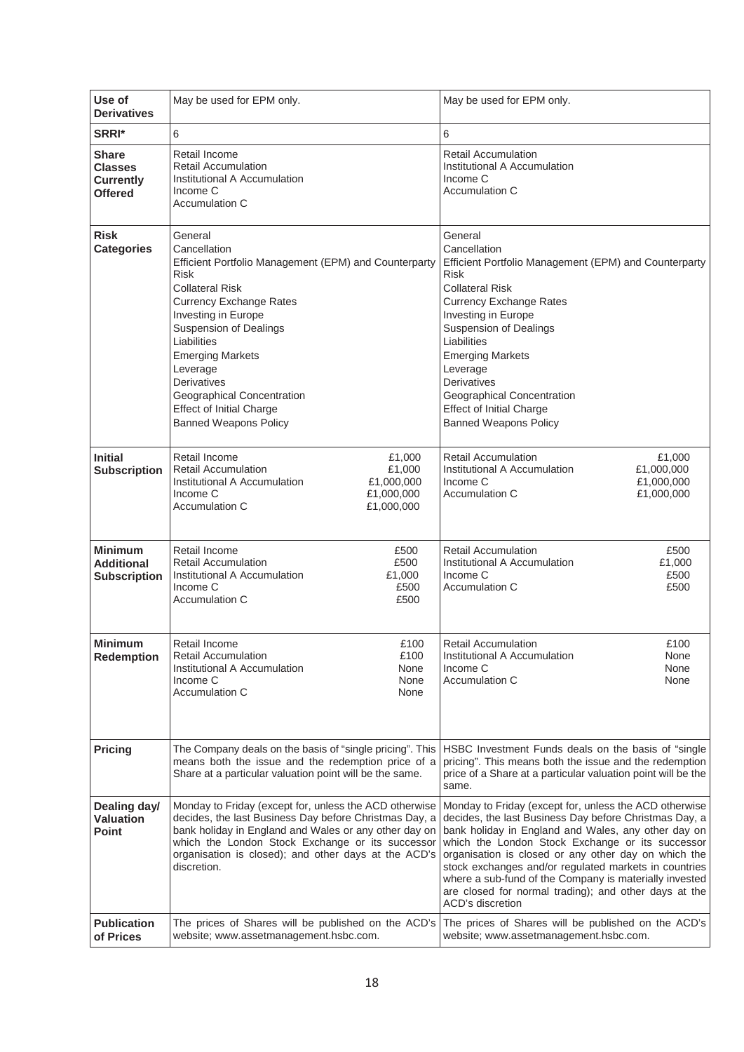| Use of<br><b>Derivatives</b>                                         | May be used for EPM only.                                                                                                                                                                                                                                                                                                                                                                 | May be used for EPM only.                                                                                                                                                                                                                                                                                                                                                                                                                                                           |
|----------------------------------------------------------------------|-------------------------------------------------------------------------------------------------------------------------------------------------------------------------------------------------------------------------------------------------------------------------------------------------------------------------------------------------------------------------------------------|-------------------------------------------------------------------------------------------------------------------------------------------------------------------------------------------------------------------------------------------------------------------------------------------------------------------------------------------------------------------------------------------------------------------------------------------------------------------------------------|
| SRRI*                                                                | 6                                                                                                                                                                                                                                                                                                                                                                                         | 6                                                                                                                                                                                                                                                                                                                                                                                                                                                                                   |
| <b>Share</b><br><b>Classes</b><br><b>Currently</b><br><b>Offered</b> | Retail Income<br><b>Retail Accumulation</b><br>Institutional A Accumulation<br>Income C<br>Accumulation C                                                                                                                                                                                                                                                                                 | <b>Retail Accumulation</b><br>Institutional A Accumulation<br>Income C<br>Accumulation C                                                                                                                                                                                                                                                                                                                                                                                            |
| <b>Risk</b><br><b>Categories</b>                                     | General<br>Cancellation<br>Efficient Portfolio Management (EPM) and Counterparty<br><b>Risk</b><br><b>Collateral Risk</b><br><b>Currency Exchange Rates</b><br>Investing in Europe<br><b>Suspension of Dealings</b><br>Liabilities<br><b>Emerging Markets</b><br>Leverage<br>Derivatives<br>Geographical Concentration<br><b>Effect of Initial Charge</b><br><b>Banned Weapons Policy</b> | General<br>Cancellation<br>Efficient Portfolio Management (EPM) and Counterparty<br><b>Risk</b><br><b>Collateral Risk</b><br><b>Currency Exchange Rates</b><br>Investing in Europe<br><b>Suspension of Dealings</b><br>Liabilities<br><b>Emerging Markets</b><br>Leverage<br>Derivatives<br>Geographical Concentration<br><b>Effect of Initial Charge</b><br><b>Banned Weapons Policy</b>                                                                                           |
| <b>Initial</b><br><b>Subscription</b>                                | Retail Income<br>£1,000<br>£1,000<br><b>Retail Accumulation</b><br>£1,000,000<br>Institutional A Accumulation<br>Income C<br>£1,000,000<br>Accumulation C<br>£1,000,000                                                                                                                                                                                                                   | <b>Retail Accumulation</b><br>£1,000<br>Institutional A Accumulation<br>£1,000,000<br>Income C<br>£1,000,000<br>Accumulation C<br>£1,000,000                                                                                                                                                                                                                                                                                                                                        |
| <b>Minimum</b><br><b>Additional</b><br><b>Subscription</b>           | Retail Income<br>£500<br><b>Retail Accumulation</b><br>£500<br>Institutional A Accumulation<br>£1,000<br>£500<br>Income C<br>£500<br><b>Accumulation C</b>                                                                                                                                                                                                                                | <b>Retail Accumulation</b><br>£500<br>Institutional A Accumulation<br>£1,000<br>Income C<br>£500<br>£500<br>Accumulation C                                                                                                                                                                                                                                                                                                                                                          |
| <b>Minimum</b><br><b>Redemption</b>                                  | Retail Income<br>£100<br><b>Retail Accumulation</b><br>£100<br>Institutional A Accumulation<br>None<br>Income C<br>None<br><b>Accumulation C</b><br>None                                                                                                                                                                                                                                  | <b>Retail Accumulation</b><br>£100<br>Institutional A Accumulation<br>None<br>Income C<br>None<br>Accumulation C<br>None                                                                                                                                                                                                                                                                                                                                                            |
| <b>Pricing</b>                                                       | The Company deals on the basis of "single pricing". This<br>means both the issue and the redemption price of a<br>Share at a particular valuation point will be the same.                                                                                                                                                                                                                 | HSBC Investment Funds deals on the basis of "single"<br>pricing". This means both the issue and the redemption<br>price of a Share at a particular valuation point will be the<br>same.                                                                                                                                                                                                                                                                                             |
| Dealing day/<br><b>Valuation</b><br>Point                            | Monday to Friday (except for, unless the ACD otherwise<br>decides, the last Business Day before Christmas Day, a<br>bank holiday in England and Wales or any other day on<br>which the London Stock Exchange or its successor<br>organisation is closed); and other days at the ACD's<br>discretion.                                                                                      | Monday to Friday (except for, unless the ACD otherwise<br>decides, the last Business Day before Christmas Day, a<br>bank holiday in England and Wales, any other day on<br>which the London Stock Exchange or its successor<br>organisation is closed or any other day on which the<br>stock exchanges and/or regulated markets in countries<br>where a sub-fund of the Company is materially invested<br>are closed for normal trading); and other days at the<br>ACD's discretion |
| <b>Publication</b><br>of Prices                                      | The prices of Shares will be published on the ACD's<br>website; www.assetmanagement.hsbc.com.                                                                                                                                                                                                                                                                                             | The prices of Shares will be published on the ACD's<br>website; www.assetmanagement.hsbc.com.                                                                                                                                                                                                                                                                                                                                                                                       |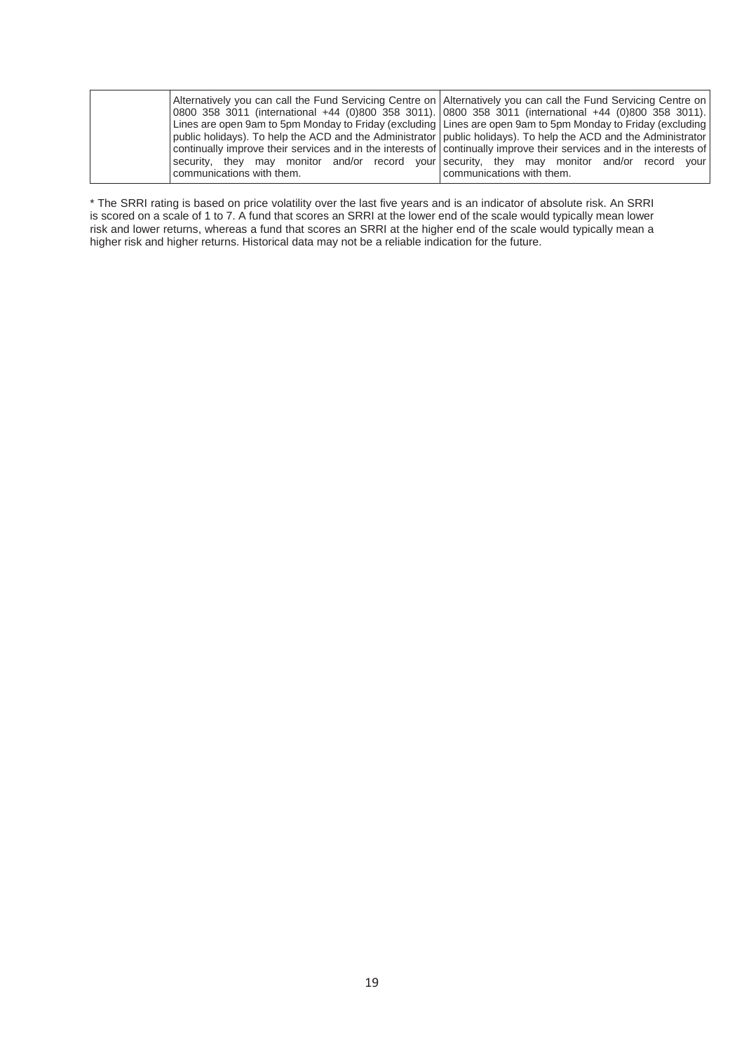|                           | Alternatively you can call the Fund Servicing Centre on Alternatively you can call the Fund Servicing Centre on<br>0800 358 3011 (international +44 (0)800 358 3011). 0800 358 3011 (international +44 (0)800 358 3011).                   |
|---------------------------|--------------------------------------------------------------------------------------------------------------------------------------------------------------------------------------------------------------------------------------------|
|                           | Lines are open 9am to 5pm Monday to Friday (excluding Lines are open 9am to 5pm Monday to Friday (excluding                                                                                                                                |
|                           | public holidays). To help the ACD and the Administrator   public holidays). To help the ACD and the Administrator<br>continually improve their services and in the interests of continually improve their services and in the interests of |
| communications with them. | security, they may monitor and/or record your security, they may monitor and/or record your<br>communications with them.                                                                                                                   |

\* The SRRI rating is based on price volatility over the last five years and is an indicator of absolute risk. An SRRI is scored on a scale of 1 to 7. A fund that scores an SRRI at the lower end of the scale would typically mean lower risk and lower returns, whereas a fund that scores an SRRI at the higher end of the scale would typically mean a higher risk and higher returns. Historical data may not be a reliable indication for the future.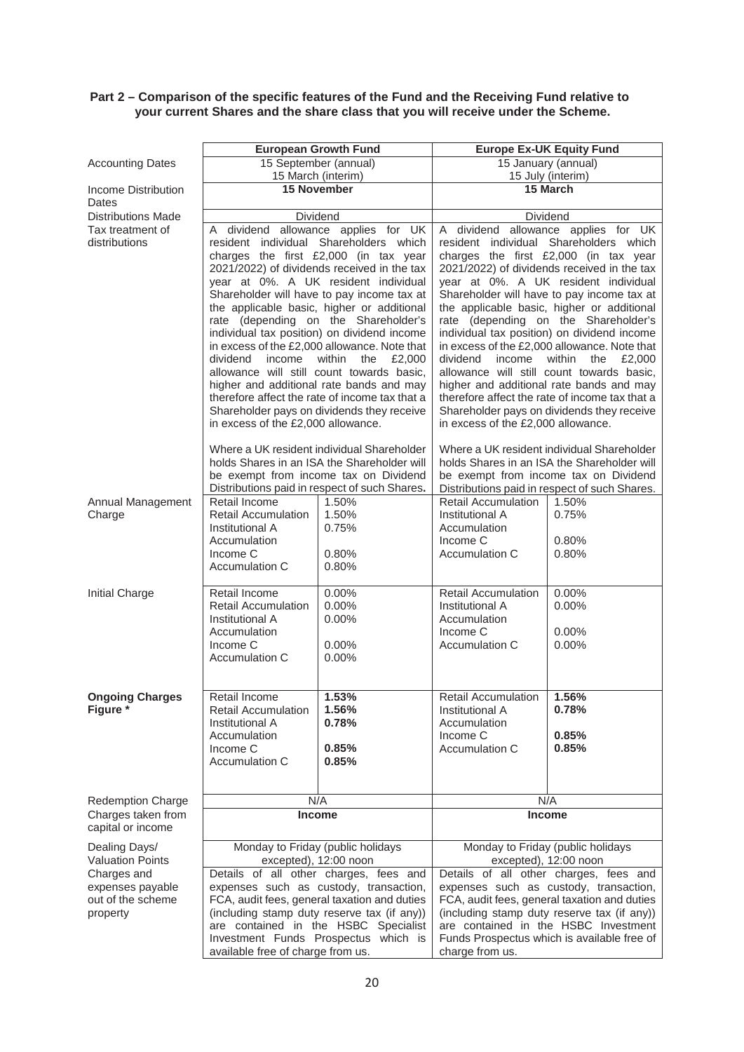# **Part 2 – Comparison of the specific features of the Fund and the Receiving Fund relative to your current Shares and the share class that you will receive under the Scheme.**

|                              | <b>European Growth Fund</b>                                                                                                                         |                                                                                      | <b>Europe Ex-UK Equity Fund</b>                                                                                                                                                                                                                                                                                                       |                                                                                        |
|------------------------------|-----------------------------------------------------------------------------------------------------------------------------------------------------|--------------------------------------------------------------------------------------|---------------------------------------------------------------------------------------------------------------------------------------------------------------------------------------------------------------------------------------------------------------------------------------------------------------------------------------|----------------------------------------------------------------------------------------|
| <b>Accounting Dates</b>      | 15 September (annual)                                                                                                                               |                                                                                      | 15 January (annual)                                                                                                                                                                                                                                                                                                                   |                                                                                        |
|                              | 15 March (interim)                                                                                                                                  |                                                                                      | 15 July (interim)                                                                                                                                                                                                                                                                                                                     |                                                                                        |
| Income Distribution<br>Dates | <b>15 November</b>                                                                                                                                  |                                                                                      | 15 March                                                                                                                                                                                                                                                                                                                              |                                                                                        |
| <b>Distributions Made</b>    | Dividend                                                                                                                                            |                                                                                      | Dividend                                                                                                                                                                                                                                                                                                                              |                                                                                        |
| Tax treatment of             | A dividend allowance applies for UK                                                                                                                 |                                                                                      | A dividend allowance applies for UK                                                                                                                                                                                                                                                                                                   |                                                                                        |
| distributions                | resident individual Shareholders which                                                                                                              |                                                                                      | resident individual Shareholders which<br>charges the first £2,000 (in tax year                                                                                                                                                                                                                                                       |                                                                                        |
|                              |                                                                                                                                                     | charges the first £2,000 (in tax year<br>2021/2022) of dividends received in the tax |                                                                                                                                                                                                                                                                                                                                       |                                                                                        |
|                              |                                                                                                                                                     | year at 0%. A UK resident individual                                                 | 2021/2022) of dividends received in the tax<br>year at 0%. A UK resident individual                                                                                                                                                                                                                                                   |                                                                                        |
|                              |                                                                                                                                                     | Shareholder will have to pay income tax at                                           | Shareholder will have to pay income tax at                                                                                                                                                                                                                                                                                            |                                                                                        |
|                              |                                                                                                                                                     | the applicable basic, higher or additional                                           | the applicable basic, higher or additional                                                                                                                                                                                                                                                                                            |                                                                                        |
|                              |                                                                                                                                                     | rate (depending on the Shareholder's                                                 | rate (depending on the Shareholder's                                                                                                                                                                                                                                                                                                  |                                                                                        |
|                              |                                                                                                                                                     | individual tax position) on dividend income                                          | individual tax position) on dividend income<br>in excess of the £2,000 allowance. Note that<br>dividend<br>income<br>within<br>the<br>£2,000<br>allowance will still count towards basic,<br>higher and additional rate bands and may<br>therefore affect the rate of income tax that a<br>Shareholder pays on dividends they receive |                                                                                        |
|                              |                                                                                                                                                     | in excess of the £2,000 allowance. Note that                                         |                                                                                                                                                                                                                                                                                                                                       |                                                                                        |
|                              | dividend<br>income                                                                                                                                  | within<br>the<br>£2,000<br>allowance will still count towards basic,                 |                                                                                                                                                                                                                                                                                                                                       |                                                                                        |
|                              |                                                                                                                                                     | higher and additional rate bands and may                                             |                                                                                                                                                                                                                                                                                                                                       |                                                                                        |
|                              |                                                                                                                                                     | therefore affect the rate of income tax that a                                       |                                                                                                                                                                                                                                                                                                                                       |                                                                                        |
|                              |                                                                                                                                                     | Shareholder pays on dividends they receive                                           |                                                                                                                                                                                                                                                                                                                                       |                                                                                        |
|                              | in excess of the £2,000 allowance.                                                                                                                  |                                                                                      | in excess of the £2,000 allowance.                                                                                                                                                                                                                                                                                                    |                                                                                        |
|                              |                                                                                                                                                     | Where a UK resident individual Shareholder                                           | Where a UK resident individual Shareholder                                                                                                                                                                                                                                                                                            |                                                                                        |
|                              |                                                                                                                                                     | holds Shares in an ISA the Shareholder will                                          | holds Shares in an ISA the Shareholder will                                                                                                                                                                                                                                                                                           |                                                                                        |
|                              |                                                                                                                                                     | be exempt from income tax on Dividend                                                |                                                                                                                                                                                                                                                                                                                                       | be exempt from income tax on Dividend<br>Distributions paid in respect of such Shares. |
| Annual Management            | Retail Income                                                                                                                                       | Distributions paid in respect of such Shares.<br>1.50%                               | <b>Retail Accumulation</b>                                                                                                                                                                                                                                                                                                            | 1.50%                                                                                  |
| Charge                       | <b>Retail Accumulation</b>                                                                                                                          | 1.50%                                                                                | Institutional A                                                                                                                                                                                                                                                                                                                       | 0.75%                                                                                  |
|                              | Institutional A                                                                                                                                     | 0.75%                                                                                | Accumulation                                                                                                                                                                                                                                                                                                                          |                                                                                        |
|                              | Accumulation                                                                                                                                        |                                                                                      | Income C                                                                                                                                                                                                                                                                                                                              | 0.80%                                                                                  |
|                              | Income C                                                                                                                                            | 0.80%                                                                                | Accumulation C                                                                                                                                                                                                                                                                                                                        | 0.80%                                                                                  |
|                              | Accumulation C                                                                                                                                      | 0.80%                                                                                |                                                                                                                                                                                                                                                                                                                                       |                                                                                        |
| Initial Charge               | Retail Income                                                                                                                                       | 0.00%                                                                                | <b>Retail Accumulation</b>                                                                                                                                                                                                                                                                                                            | 0.00%                                                                                  |
|                              | <b>Retail Accumulation</b>                                                                                                                          | 0.00%                                                                                | Institutional A                                                                                                                                                                                                                                                                                                                       | 0.00%                                                                                  |
|                              | Institutional A                                                                                                                                     | 0.00%                                                                                | Accumulation                                                                                                                                                                                                                                                                                                                          |                                                                                        |
|                              | Accumulation                                                                                                                                        |                                                                                      | Income C                                                                                                                                                                                                                                                                                                                              | 0.00%                                                                                  |
|                              | Income C<br>Accumulation C                                                                                                                          | 0.00%<br>0.00%                                                                       | Accumulation C                                                                                                                                                                                                                                                                                                                        | 0.00%                                                                                  |
|                              |                                                                                                                                                     |                                                                                      |                                                                                                                                                                                                                                                                                                                                       |                                                                                        |
| <b>Ongoing Charges</b>       | Retail Income                                                                                                                                       | 1.53%                                                                                | <b>Retail Accumulation</b>                                                                                                                                                                                                                                                                                                            | 1.56%                                                                                  |
| Figure *                     | <b>Retail Accumulation</b>                                                                                                                          | 1.56%                                                                                | Institutional A                                                                                                                                                                                                                                                                                                                       | 0.78%                                                                                  |
|                              | Institutional A                                                                                                                                     | 0.78%                                                                                | Accumulation                                                                                                                                                                                                                                                                                                                          |                                                                                        |
|                              | Accumulation                                                                                                                                        |                                                                                      | Income C<br>Accumulation C                                                                                                                                                                                                                                                                                                            | 0.85%                                                                                  |
|                              | Income C<br>Accumulation C                                                                                                                          | 0.85%<br>0.85%                                                                       |                                                                                                                                                                                                                                                                                                                                       | 0.85%                                                                                  |
|                              |                                                                                                                                                     |                                                                                      |                                                                                                                                                                                                                                                                                                                                       |                                                                                        |
| <b>Redemption Charge</b>     |                                                                                                                                                     | N/A                                                                                  |                                                                                                                                                                                                                                                                                                                                       | N/A                                                                                    |
| Charges taken from           |                                                                                                                                                     | <b>Income</b>                                                                        |                                                                                                                                                                                                                                                                                                                                       | <b>Income</b>                                                                          |
| capital or income            |                                                                                                                                                     |                                                                                      |                                                                                                                                                                                                                                                                                                                                       |                                                                                        |
| Dealing Days/                |                                                                                                                                                     | Monday to Friday (public holidays                                                    |                                                                                                                                                                                                                                                                                                                                       | Monday to Friday (public holidays                                                      |
|                              | <b>Valuation Points</b><br>excepted), 12:00 noon<br>Charges and<br>Details of all other charges, fees and<br>expenses such as custody, transaction, |                                                                                      | excepted), 12:00 noon                                                                                                                                                                                                                                                                                                                 | Details of all other charges, fees and                                                 |
| expenses payable             |                                                                                                                                                     |                                                                                      |                                                                                                                                                                                                                                                                                                                                       | expenses such as custody, transaction,                                                 |
| out of the scheme            | FCA, audit fees, general taxation and duties                                                                                                        |                                                                                      | FCA, audit fees, general taxation and duties                                                                                                                                                                                                                                                                                          |                                                                                        |
| property                     | (including stamp duty reserve tax (if any))                                                                                                         |                                                                                      | (including stamp duty reserve tax (if any))                                                                                                                                                                                                                                                                                           |                                                                                        |
|                              | are contained in the HSBC Specialist                                                                                                                |                                                                                      | are contained in the HSBC Investment                                                                                                                                                                                                                                                                                                  |                                                                                        |
|                              |                                                                                                                                                     | Investment Funds Prospectus which is                                                 |                                                                                                                                                                                                                                                                                                                                       | Funds Prospectus which is available free of                                            |
|                              | available free of charge from us.                                                                                                                   |                                                                                      | charge from us.                                                                                                                                                                                                                                                                                                                       |                                                                                        |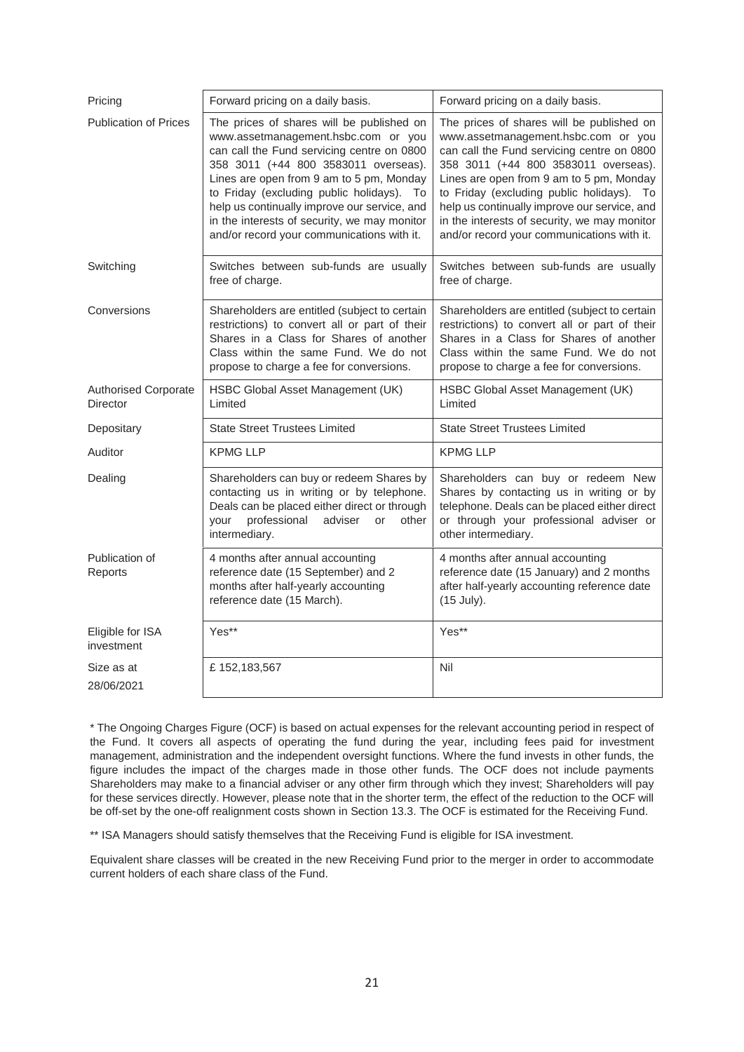| Pricing                                        | Forward pricing on a daily basis.                                                                                                                                                                                                                                                                                                                                                                             | Forward pricing on a daily basis.                                                                                                                                                                                                                                                                                                                                                                             |  |
|------------------------------------------------|---------------------------------------------------------------------------------------------------------------------------------------------------------------------------------------------------------------------------------------------------------------------------------------------------------------------------------------------------------------------------------------------------------------|---------------------------------------------------------------------------------------------------------------------------------------------------------------------------------------------------------------------------------------------------------------------------------------------------------------------------------------------------------------------------------------------------------------|--|
| <b>Publication of Prices</b>                   | The prices of shares will be published on<br>www.assetmanagement.hsbc.com or you<br>can call the Fund servicing centre on 0800<br>358 3011 (+44 800 3583011 overseas).<br>Lines are open from 9 am to 5 pm, Monday<br>to Friday (excluding public holidays). To<br>help us continually improve our service, and<br>in the interests of security, we may monitor<br>and/or record your communications with it. | The prices of shares will be published on<br>www.assetmanagement.hsbc.com or you<br>can call the Fund servicing centre on 0800<br>358 3011 (+44 800 3583011 overseas).<br>Lines are open from 9 am to 5 pm, Monday<br>to Friday (excluding public holidays). To<br>help us continually improve our service, and<br>in the interests of security, we may monitor<br>and/or record your communications with it. |  |
| Switching                                      | Switches between sub-funds are usually<br>free of charge.                                                                                                                                                                                                                                                                                                                                                     | Switches between sub-funds are usually<br>free of charge.                                                                                                                                                                                                                                                                                                                                                     |  |
| Conversions                                    | Shareholders are entitled (subject to certain<br>restrictions) to convert all or part of their<br>Shares in a Class for Shares of another<br>Class within the same Fund. We do not<br>propose to charge a fee for conversions.                                                                                                                                                                                | Shareholders are entitled (subject to certain<br>restrictions) to convert all or part of their<br>Shares in a Class for Shares of another<br>Class within the same Fund. We do not<br>propose to charge a fee for conversions.                                                                                                                                                                                |  |
| <b>Authorised Corporate</b><br><b>Director</b> | HSBC Global Asset Management (UK)<br>Limited                                                                                                                                                                                                                                                                                                                                                                  | HSBC Global Asset Management (UK)<br>Limited                                                                                                                                                                                                                                                                                                                                                                  |  |
| Depositary                                     | <b>State Street Trustees Limited</b>                                                                                                                                                                                                                                                                                                                                                                          | <b>State Street Trustees Limited</b>                                                                                                                                                                                                                                                                                                                                                                          |  |
| Auditor                                        | <b>KPMG LLP</b>                                                                                                                                                                                                                                                                                                                                                                                               | <b>KPMG LLP</b>                                                                                                                                                                                                                                                                                                                                                                                               |  |
| Dealing                                        | Shareholders can buy or redeem Shares by<br>contacting us in writing or by telephone.<br>Deals can be placed either direct or through<br>professional<br>adviser<br>other<br>vour<br>or<br>intermediary.                                                                                                                                                                                                      | Shareholders can buy or redeem New<br>Shares by contacting us in writing or by<br>telephone. Deals can be placed either direct<br>or through your professional adviser or<br>other intermediary.                                                                                                                                                                                                              |  |
| Publication of<br>Reports                      | 4 months after annual accounting<br>reference date (15 September) and 2<br>months after half-yearly accounting<br>reference date (15 March).                                                                                                                                                                                                                                                                  | 4 months after annual accounting<br>reference date (15 January) and 2 months<br>after half-yearly accounting reference date<br>(15 July).                                                                                                                                                                                                                                                                     |  |
| Eligible for ISA<br>investment                 | Yes**                                                                                                                                                                                                                                                                                                                                                                                                         | Yes**                                                                                                                                                                                                                                                                                                                                                                                                         |  |
| Size as at<br>28/06/2021                       | £152,183,567                                                                                                                                                                                                                                                                                                                                                                                                  | Nil                                                                                                                                                                                                                                                                                                                                                                                                           |  |

\* The Ongoing Charges Figure (OCF) is based on actual expenses for the relevant accounting period in respect of the Fund. It covers all aspects of operating the fund during the year, including fees paid for investment management, administration and the independent oversight functions. Where the fund invests in other funds, the figure includes the impact of the charges made in those other funds. The OCF does not include payments Shareholders may make to a financial adviser or any other firm through which they invest; Shareholders will pay for these services directly. However, please note that in the shorter term, the effect of the reduction to the OCF will be off-set by the one-off realignment costs shown in Section 13.3. The OCF is estimated for the Receiving Fund.

\*\* ISA Managers should satisfy themselves that the Receiving Fund is eligible for ISA investment.

Equivalent share classes will be created in the new Receiving Fund prior to the merger in order to accommodate current holders of each share class of the Fund.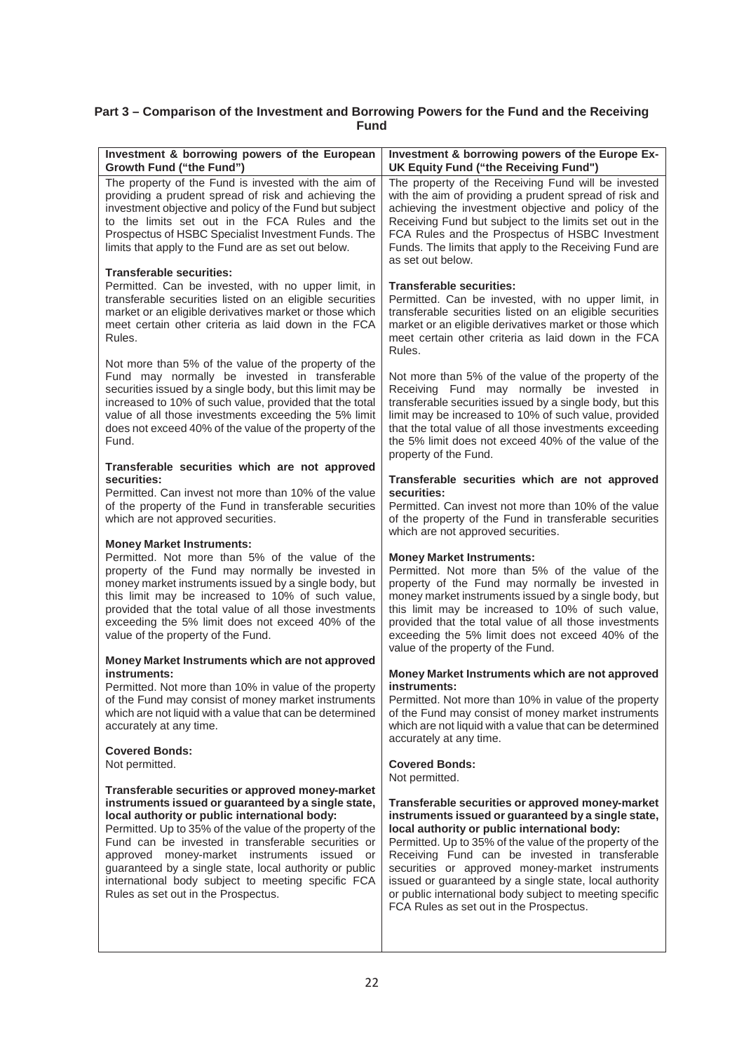# **Part 3 – Comparison of the Investment and Borrowing Powers for the Fund and the Receiving Fund**

| Investment & borrowing powers of the European                                                                                                                                                                                               | Investment & borrowing powers of the Europe Ex-                                                                                                                                                                                                                                |
|---------------------------------------------------------------------------------------------------------------------------------------------------------------------------------------------------------------------------------------------|--------------------------------------------------------------------------------------------------------------------------------------------------------------------------------------------------------------------------------------------------------------------------------|
| Growth Fund ("the Fund")                                                                                                                                                                                                                    | UK Equity Fund ("the Receiving Fund")                                                                                                                                                                                                                                          |
| The property of the Fund is invested with the aim of                                                                                                                                                                                        | The property of the Receiving Fund will be invested                                                                                                                                                                                                                            |
| providing a prudent spread of risk and achieving the                                                                                                                                                                                        | with the aim of providing a prudent spread of risk and                                                                                                                                                                                                                         |
| investment objective and policy of the Fund but subject                                                                                                                                                                                     | achieving the investment objective and policy of the                                                                                                                                                                                                                           |
| to the limits set out in the FCA Rules and the                                                                                                                                                                                              | Receiving Fund but subject to the limits set out in the                                                                                                                                                                                                                        |
| Prospectus of HSBC Specialist Investment Funds. The                                                                                                                                                                                         | FCA Rules and the Prospectus of HSBC Investment                                                                                                                                                                                                                                |
| limits that apply to the Fund are as set out below.                                                                                                                                                                                         | Funds. The limits that apply to the Receiving Fund are                                                                                                                                                                                                                         |
| <b>Transferable securities:</b>                                                                                                                                                                                                             | as set out below.                                                                                                                                                                                                                                                              |
| Permitted. Can be invested, with no upper limit, in<br>transferable securities listed on an eligible securities<br>market or an eligible derivatives market or those which<br>meet certain other criteria as laid down in the FCA<br>Rules. | <b>Transferable securities:</b><br>Permitted. Can be invested, with no upper limit, in<br>transferable securities listed on an eligible securities<br>market or an eligible derivatives market or those which<br>meet certain other criteria as laid down in the FCA<br>Rules. |
| Not more than 5% of the value of the property of the                                                                                                                                                                                        | Not more than 5% of the value of the property of the                                                                                                                                                                                                                           |
| Fund may normally be invested in transferable                                                                                                                                                                                               | Receiving Fund may normally be invested in                                                                                                                                                                                                                                     |
| securities issued by a single body, but this limit may be                                                                                                                                                                                   | transferable securities issued by a single body, but this                                                                                                                                                                                                                      |
| increased to 10% of such value, provided that the total                                                                                                                                                                                     | limit may be increased to 10% of such value, provided                                                                                                                                                                                                                          |
| value of all those investments exceeding the 5% limit                                                                                                                                                                                       | that the total value of all those investments exceeding                                                                                                                                                                                                                        |
| does not exceed 40% of the value of the property of the                                                                                                                                                                                     | the 5% limit does not exceed 40% of the value of the                                                                                                                                                                                                                           |
| Fund.                                                                                                                                                                                                                                       | property of the Fund.                                                                                                                                                                                                                                                          |
| Transferable securities which are not approved                                                                                                                                                                                              | Transferable securities which are not approved                                                                                                                                                                                                                                 |
| securities:                                                                                                                                                                                                                                 | securities:                                                                                                                                                                                                                                                                    |
| Permitted. Can invest not more than 10% of the value                                                                                                                                                                                        | Permitted. Can invest not more than 10% of the value                                                                                                                                                                                                                           |
| of the property of the Fund in transferable securities                                                                                                                                                                                      | of the property of the Fund in transferable securities                                                                                                                                                                                                                         |
| which are not approved securities.                                                                                                                                                                                                          | which are not approved securities.                                                                                                                                                                                                                                             |
| <b>Money Market Instruments:</b>                                                                                                                                                                                                            | <b>Money Market Instruments:</b>                                                                                                                                                                                                                                               |
| Permitted. Not more than 5% of the value of the                                                                                                                                                                                             | Permitted. Not more than 5% of the value of the                                                                                                                                                                                                                                |
| property of the Fund may normally be invested in                                                                                                                                                                                            | property of the Fund may normally be invested in                                                                                                                                                                                                                               |
| money market instruments issued by a single body, but                                                                                                                                                                                       | money market instruments issued by a single body, but                                                                                                                                                                                                                          |
| this limit may be increased to 10% of such value,                                                                                                                                                                                           | this limit may be increased to 10% of such value,                                                                                                                                                                                                                              |
| provided that the total value of all those investments                                                                                                                                                                                      | provided that the total value of all those investments                                                                                                                                                                                                                         |
| exceeding the 5% limit does not exceed 40% of the                                                                                                                                                                                           | exceeding the 5% limit does not exceed 40% of the                                                                                                                                                                                                                              |
| value of the property of the Fund.                                                                                                                                                                                                          | value of the property of the Fund.                                                                                                                                                                                                                                             |
| Money Market Instruments which are not approved                                                                                                                                                                                             |                                                                                                                                                                                                                                                                                |
| instruments:                                                                                                                                                                                                                                | Money Market Instruments which are not approved<br>instruments:                                                                                                                                                                                                                |
| Permitted. Not more than 10% in value of the property                                                                                                                                                                                       | Permitted. Not more than 10% in value of the property                                                                                                                                                                                                                          |
| of the Fund may consist of money market instruments                                                                                                                                                                                         | of the Fund may consist of money market instruments                                                                                                                                                                                                                            |
| which are not liquid with a value that can be determined                                                                                                                                                                                    | which are not liquid with a value that can be determined                                                                                                                                                                                                                       |
| accurately at any time.                                                                                                                                                                                                                     | accurately at any time.                                                                                                                                                                                                                                                        |
| <b>Covered Bonds:</b>                                                                                                                                                                                                                       | <b>Covered Bonds:</b>                                                                                                                                                                                                                                                          |
| Not permitted.                                                                                                                                                                                                                              | Not permitted.                                                                                                                                                                                                                                                                 |
| Transferable securities or approved money-market                                                                                                                                                                                            | Transferable securities or approved money-market                                                                                                                                                                                                                               |
| instruments issued or guaranteed by a single state,                                                                                                                                                                                         | instruments issued or guaranteed by a single state,                                                                                                                                                                                                                            |
| local authority or public international body:                                                                                                                                                                                               | local authority or public international body:                                                                                                                                                                                                                                  |
| Permitted. Up to 35% of the value of the property of the                                                                                                                                                                                    | Permitted. Up to 35% of the value of the property of the                                                                                                                                                                                                                       |
| Fund can be invested in transferable securities or                                                                                                                                                                                          | Receiving Fund can be invested in transferable                                                                                                                                                                                                                                 |
| approved money-market instruments issued or                                                                                                                                                                                                 | securities or approved money-market instruments                                                                                                                                                                                                                                |
| guaranteed by a single state, local authority or public                                                                                                                                                                                     | issued or guaranteed by a single state, local authority                                                                                                                                                                                                                        |
| international body subject to meeting specific FCA                                                                                                                                                                                          | or public international body subject to meeting specific                                                                                                                                                                                                                       |
| Rules as set out in the Prospectus.                                                                                                                                                                                                         | FCA Rules as set out in the Prospectus.                                                                                                                                                                                                                                        |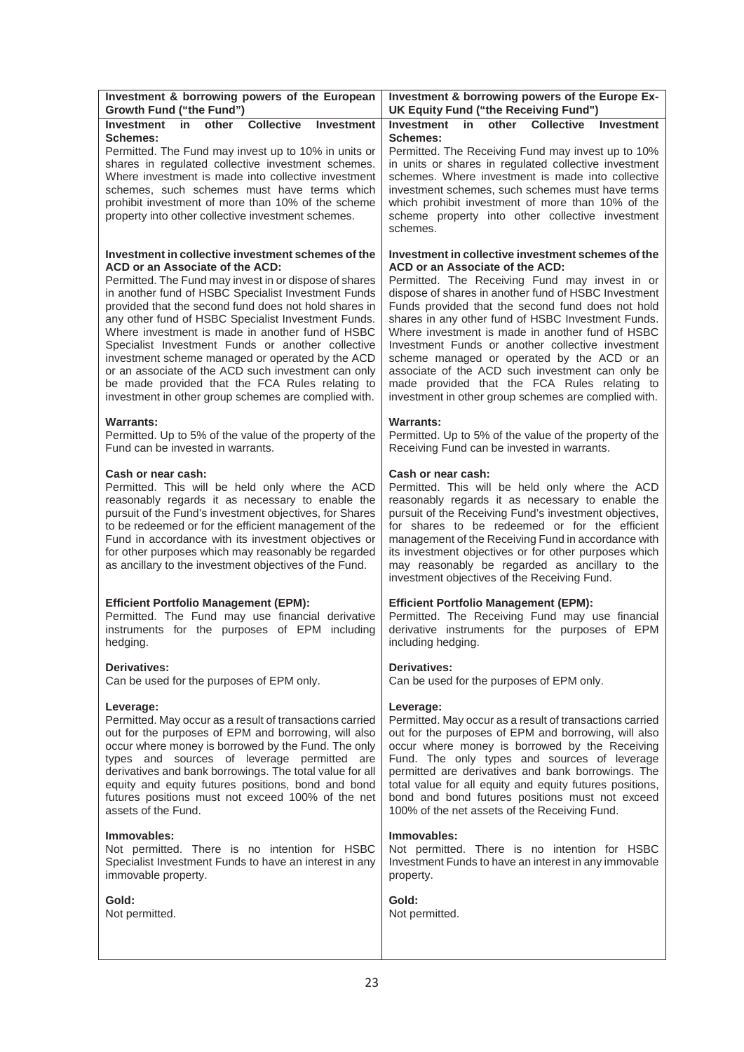| Investment & borrowing powers of the European                                                                                                                                                                                                                                                                                                                                                                          | Investment & borrowing powers of the Europe Ex-                                                                                                                                                                                                                                                                                                                                                                                                         |
|------------------------------------------------------------------------------------------------------------------------------------------------------------------------------------------------------------------------------------------------------------------------------------------------------------------------------------------------------------------------------------------------------------------------|---------------------------------------------------------------------------------------------------------------------------------------------------------------------------------------------------------------------------------------------------------------------------------------------------------------------------------------------------------------------------------------------------------------------------------------------------------|
| Growth Fund ("the Fund")                                                                                                                                                                                                                                                                                                                                                                                               | UK Equity Fund ("the Receiving Fund")                                                                                                                                                                                                                                                                                                                                                                                                                   |
| Investment<br>other<br><b>Collective</b><br><b>Investment</b><br>in<br><b>Schemes:</b><br>Permitted. The Fund may invest up to 10% in units or<br>shares in regulated collective investment schemes.<br>Where investment is made into collective investment<br>schemes, such schemes must have terms which<br>prohibit investment of more than 10% of the scheme<br>property into other collective investment schemes. | <b>Investment</b><br>other<br><b>Collective</b><br>in.<br>Investment<br><b>Schemes:</b><br>Permitted. The Receiving Fund may invest up to 10%<br>in units or shares in regulated collective investment<br>schemes. Where investment is made into collective<br>investment schemes, such schemes must have terms<br>which prohibit investment of more than 10% of the<br>scheme property into other collective investment<br>schemes.                    |
| Investment in collective investment schemes of the                                                                                                                                                                                                                                                                                                                                                                     | Investment in collective investment schemes of the                                                                                                                                                                                                                                                                                                                                                                                                      |
| ACD or an Associate of the ACD:                                                                                                                                                                                                                                                                                                                                                                                        | ACD or an Associate of the ACD:                                                                                                                                                                                                                                                                                                                                                                                                                         |
| Permitted. The Fund may invest in or dispose of shares                                                                                                                                                                                                                                                                                                                                                                 | Permitted. The Receiving Fund may invest in or                                                                                                                                                                                                                                                                                                                                                                                                          |
| in another fund of HSBC Specialist Investment Funds                                                                                                                                                                                                                                                                                                                                                                    | dispose of shares in another fund of HSBC Investment                                                                                                                                                                                                                                                                                                                                                                                                    |
| provided that the second fund does not hold shares in                                                                                                                                                                                                                                                                                                                                                                  | Funds provided that the second fund does not hold                                                                                                                                                                                                                                                                                                                                                                                                       |
| any other fund of HSBC Specialist Investment Funds.                                                                                                                                                                                                                                                                                                                                                                    | shares in any other fund of HSBC Investment Funds.                                                                                                                                                                                                                                                                                                                                                                                                      |
| Where investment is made in another fund of HSBC                                                                                                                                                                                                                                                                                                                                                                       | Where investment is made in another fund of HSBC                                                                                                                                                                                                                                                                                                                                                                                                        |
| Specialist Investment Funds or another collective                                                                                                                                                                                                                                                                                                                                                                      | Investment Funds or another collective investment                                                                                                                                                                                                                                                                                                                                                                                                       |
| investment scheme managed or operated by the ACD                                                                                                                                                                                                                                                                                                                                                                       | scheme managed or operated by the ACD or an                                                                                                                                                                                                                                                                                                                                                                                                             |
| or an associate of the ACD such investment can only                                                                                                                                                                                                                                                                                                                                                                    | associate of the ACD such investment can only be                                                                                                                                                                                                                                                                                                                                                                                                        |
| be made provided that the FCA Rules relating to                                                                                                                                                                                                                                                                                                                                                                        | made provided that the FCA Rules relating to                                                                                                                                                                                                                                                                                                                                                                                                            |
| investment in other group schemes are complied with.                                                                                                                                                                                                                                                                                                                                                                   | investment in other group schemes are complied with.                                                                                                                                                                                                                                                                                                                                                                                                    |
| <b>Warrants:</b>                                                                                                                                                                                                                                                                                                                                                                                                       | <b>Warrants:</b>                                                                                                                                                                                                                                                                                                                                                                                                                                        |
| Permitted. Up to 5% of the value of the property of the                                                                                                                                                                                                                                                                                                                                                                | Permitted. Up to 5% of the value of the property of the                                                                                                                                                                                                                                                                                                                                                                                                 |
| Fund can be invested in warrants.                                                                                                                                                                                                                                                                                                                                                                                      | Receiving Fund can be invested in warrants.                                                                                                                                                                                                                                                                                                                                                                                                             |
| Cash or near cash:<br>Permitted. This will be held only where the ACD<br>reasonably regards it as necessary to enable the<br>pursuit of the Fund's investment objectives, for Shares<br>to be redeemed or for the efficient management of the<br>Fund in accordance with its investment objectives or<br>for other purposes which may reasonably be regarded<br>as ancillary to the investment objectives of the Fund. | Cash or near cash:<br>Permitted. This will be held only where the ACD<br>reasonably regards it as necessary to enable the<br>pursuit of the Receiving Fund's investment objectives,<br>for shares to be redeemed or for the efficient<br>management of the Receiving Fund in accordance with<br>its investment objectives or for other purposes which<br>may reasonably be regarded as ancillary to the<br>investment objectives of the Receiving Fund. |
| <b>Efficient Portfolio Management (EPM):</b>                                                                                                                                                                                                                                                                                                                                                                           | <b>Efficient Portfolio Management (EPM):</b>                                                                                                                                                                                                                                                                                                                                                                                                            |
| Permitted. The Fund may use financial derivative                                                                                                                                                                                                                                                                                                                                                                       | Permitted. The Receiving Fund may use financial                                                                                                                                                                                                                                                                                                                                                                                                         |
| instruments for the purposes of EPM including                                                                                                                                                                                                                                                                                                                                                                          | derivative instruments for the purposes of EPM                                                                                                                                                                                                                                                                                                                                                                                                          |
| hedging.                                                                                                                                                                                                                                                                                                                                                                                                               | including hedging.                                                                                                                                                                                                                                                                                                                                                                                                                                      |
| <b>Derivatives:</b>                                                                                                                                                                                                                                                                                                                                                                                                    | <b>Derivatives:</b>                                                                                                                                                                                                                                                                                                                                                                                                                                     |
| Can be used for the purposes of EPM only.                                                                                                                                                                                                                                                                                                                                                                              | Can be used for the purposes of EPM only.                                                                                                                                                                                                                                                                                                                                                                                                               |
| Leverage:                                                                                                                                                                                                                                                                                                                                                                                                              | Leverage:                                                                                                                                                                                                                                                                                                                                                                                                                                               |
| Permitted. May occur as a result of transactions carried                                                                                                                                                                                                                                                                                                                                                               | Permitted. May occur as a result of transactions carried                                                                                                                                                                                                                                                                                                                                                                                                |
| out for the purposes of EPM and borrowing, will also                                                                                                                                                                                                                                                                                                                                                                   | out for the purposes of EPM and borrowing, will also                                                                                                                                                                                                                                                                                                                                                                                                    |
| occur where money is borrowed by the Fund. The only                                                                                                                                                                                                                                                                                                                                                                    | occur where money is borrowed by the Receiving                                                                                                                                                                                                                                                                                                                                                                                                          |
| types and sources of leverage permitted are                                                                                                                                                                                                                                                                                                                                                                            | Fund. The only types and sources of leverage                                                                                                                                                                                                                                                                                                                                                                                                            |
| derivatives and bank borrowings. The total value for all                                                                                                                                                                                                                                                                                                                                                               | permitted are derivatives and bank borrowings. The                                                                                                                                                                                                                                                                                                                                                                                                      |
| equity and equity futures positions, bond and bond                                                                                                                                                                                                                                                                                                                                                                     | total value for all equity and equity futures positions,                                                                                                                                                                                                                                                                                                                                                                                                |
| futures positions must not exceed 100% of the net                                                                                                                                                                                                                                                                                                                                                                      | bond and bond futures positions must not exceed                                                                                                                                                                                                                                                                                                                                                                                                         |
| assets of the Fund.                                                                                                                                                                                                                                                                                                                                                                                                    | 100% of the net assets of the Receiving Fund.                                                                                                                                                                                                                                                                                                                                                                                                           |
| Immovables:                                                                                                                                                                                                                                                                                                                                                                                                            | Immovables:                                                                                                                                                                                                                                                                                                                                                                                                                                             |
| Not permitted. There is no intention for HSBC                                                                                                                                                                                                                                                                                                                                                                          | Not permitted. There is no intention for HSBC                                                                                                                                                                                                                                                                                                                                                                                                           |
| Specialist Investment Funds to have an interest in any                                                                                                                                                                                                                                                                                                                                                                 | Investment Funds to have an interest in any immovable                                                                                                                                                                                                                                                                                                                                                                                                   |
| immovable property.                                                                                                                                                                                                                                                                                                                                                                                                    | property.                                                                                                                                                                                                                                                                                                                                                                                                                                               |
| Gold:                                                                                                                                                                                                                                                                                                                                                                                                                  | Gold:                                                                                                                                                                                                                                                                                                                                                                                                                                                   |
| Not permitted.                                                                                                                                                                                                                                                                                                                                                                                                         | Not permitted.                                                                                                                                                                                                                                                                                                                                                                                                                                          |
|                                                                                                                                                                                                                                                                                                                                                                                                                        |                                                                                                                                                                                                                                                                                                                                                                                                                                                         |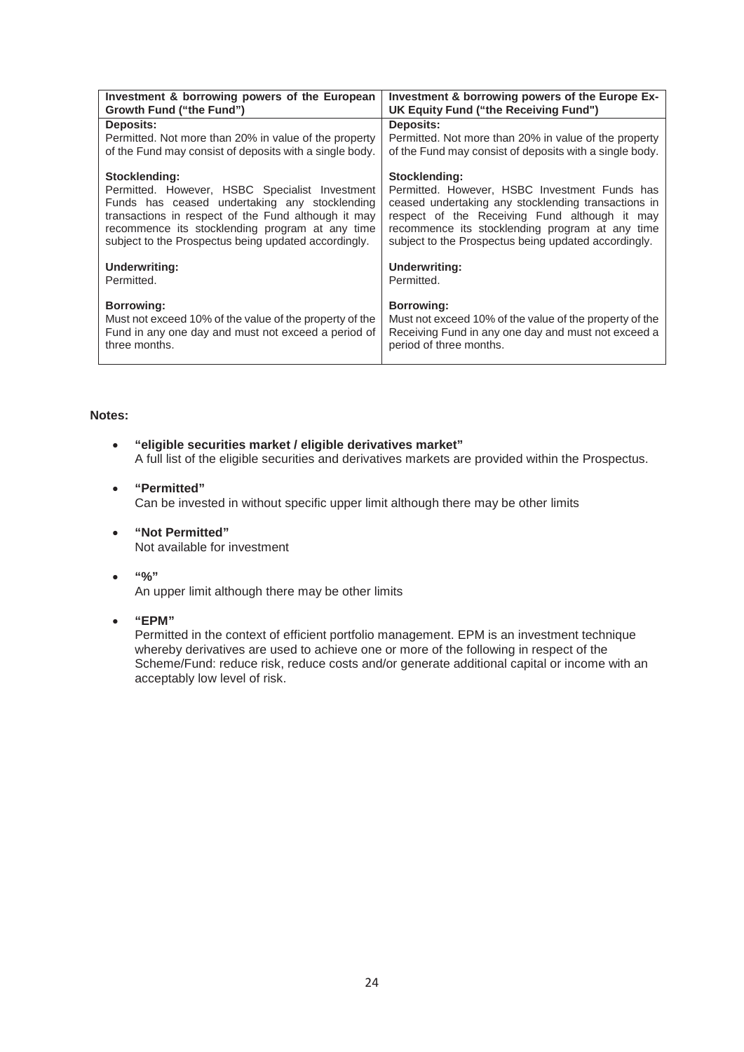| Investment & borrowing powers of the European           | Investment & borrowing powers of the Europe Ex-         |
|---------------------------------------------------------|---------------------------------------------------------|
| Growth Fund ("the Fund")                                | UK Equity Fund ("the Receiving Fund")                   |
| Deposits:                                               | Deposits:                                               |
| Permitted. Not more than 20% in value of the property   | Permitted. Not more than 20% in value of the property   |
| of the Fund may consist of deposits with a single body. | of the Fund may consist of deposits with a single body. |
| Stocklending:                                           | Stocklending:                                           |
| Permitted. However, HSBC Specialist Investment          | Permitted. However, HSBC Investment Funds has           |
| Funds has ceased undertaking any stocklending           | ceased undertaking any stocklending transactions in     |
| transactions in respect of the Fund although it may     | respect of the Receiving Fund although it may           |
| recommence its stocklending program at any time         | recommence its stocklending program at any time         |
| subject to the Prospectus being updated accordingly.    | subject to the Prospectus being updated accordingly.    |
| <b>Underwriting:</b>                                    | <b>Underwriting:</b>                                    |
| Permitted.                                              | Permitted.                                              |
| <b>Borrowing:</b>                                       | <b>Borrowing:</b>                                       |
| Must not exceed 10% of the value of the property of the | Must not exceed 10% of the value of the property of the |
| Fund in any one day and must not exceed a period of     | Receiving Fund in any one day and must not exceed a     |
| three months.                                           | period of three months.                                 |

# **Notes:**

- **"eligible securities market / eligible derivatives market"**  A full list of the eligible securities and derivatives markets are provided within the Prospectus.
- **"Permitted"**  Can be invested in without specific upper limit although there may be other limits
- **"Not Permitted"**  Not available for investment
- $\bullet$  "%"

An upper limit although there may be other limits

**"EPM"** 

Permitted in the context of efficient portfolio management. EPM is an investment technique whereby derivatives are used to achieve one or more of the following in respect of the Scheme/Fund: reduce risk, reduce costs and/or generate additional capital or income with an acceptably low level of risk.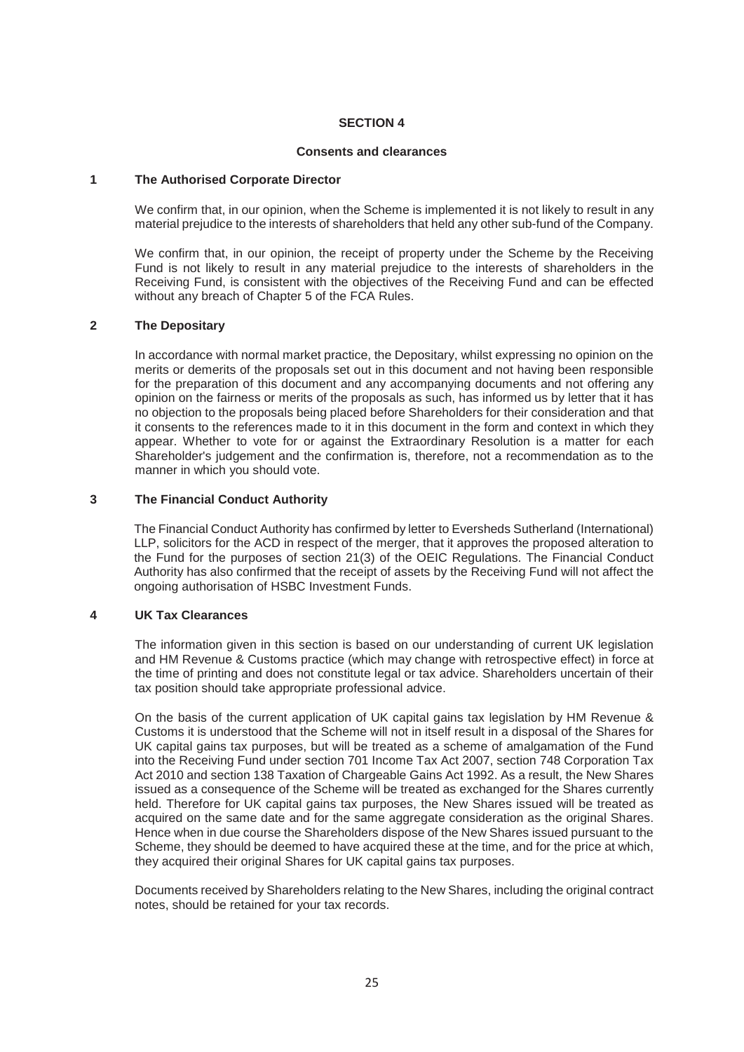# **SECTION 4**

# **Consents and clearances**

# **1 The Authorised Corporate Director**

We confirm that, in our opinion, when the Scheme is implemented it is not likely to result in any material prejudice to the interests of shareholders that held any other sub-fund of the Company.

We confirm that, in our opinion, the receipt of property under the Scheme by the Receiving Fund is not likely to result in any material prejudice to the interests of shareholders in the Receiving Fund, is consistent with the objectives of the Receiving Fund and can be effected without any breach of Chapter 5 of the FCA Rules.

# **2 The Depositary**

In accordance with normal market practice, the Depositary, whilst expressing no opinion on the merits or demerits of the proposals set out in this document and not having been responsible for the preparation of this document and any accompanying documents and not offering any opinion on the fairness or merits of the proposals as such, has informed us by letter that it has no objection to the proposals being placed before Shareholders for their consideration and that it consents to the references made to it in this document in the form and context in which they appear. Whether to vote for or against the Extraordinary Resolution is a matter for each Shareholder's judgement and the confirmation is, therefore, not a recommendation as to the manner in which you should vote.

# **3 The Financial Conduct Authority**

The Financial Conduct Authority has confirmed by letter to Eversheds Sutherland (International) LLP, solicitors for the ACD in respect of the merger, that it approves the proposed alteration to the Fund for the purposes of section 21(3) of the OEIC Regulations. The Financial Conduct Authority has also confirmed that the receipt of assets by the Receiving Fund will not affect the ongoing authorisation of HSBC Investment Funds.

# **4 UK Tax Clearances**

The information given in this section is based on our understanding of current UK legislation and HM Revenue & Customs practice (which may change with retrospective effect) in force at the time of printing and does not constitute legal or tax advice. Shareholders uncertain of their tax position should take appropriate professional advice.

On the basis of the current application of UK capital gains tax legislation by HM Revenue & Customs it is understood that the Scheme will not in itself result in a disposal of the Shares for UK capital gains tax purposes, but will be treated as a scheme of amalgamation of the Fund into the Receiving Fund under section 701 Income Tax Act 2007, section 748 Corporation Tax Act 2010 and section 138 Taxation of Chargeable Gains Act 1992. As a result, the New Shares issued as a consequence of the Scheme will be treated as exchanged for the Shares currently held. Therefore for UK capital gains tax purposes, the New Shares issued will be treated as acquired on the same date and for the same aggregate consideration as the original Shares. Hence when in due course the Shareholders dispose of the New Shares issued pursuant to the Scheme, they should be deemed to have acquired these at the time, and for the price at which, they acquired their original Shares for UK capital gains tax purposes.

Documents received by Shareholders relating to the New Shares, including the original contract notes, should be retained for your tax records.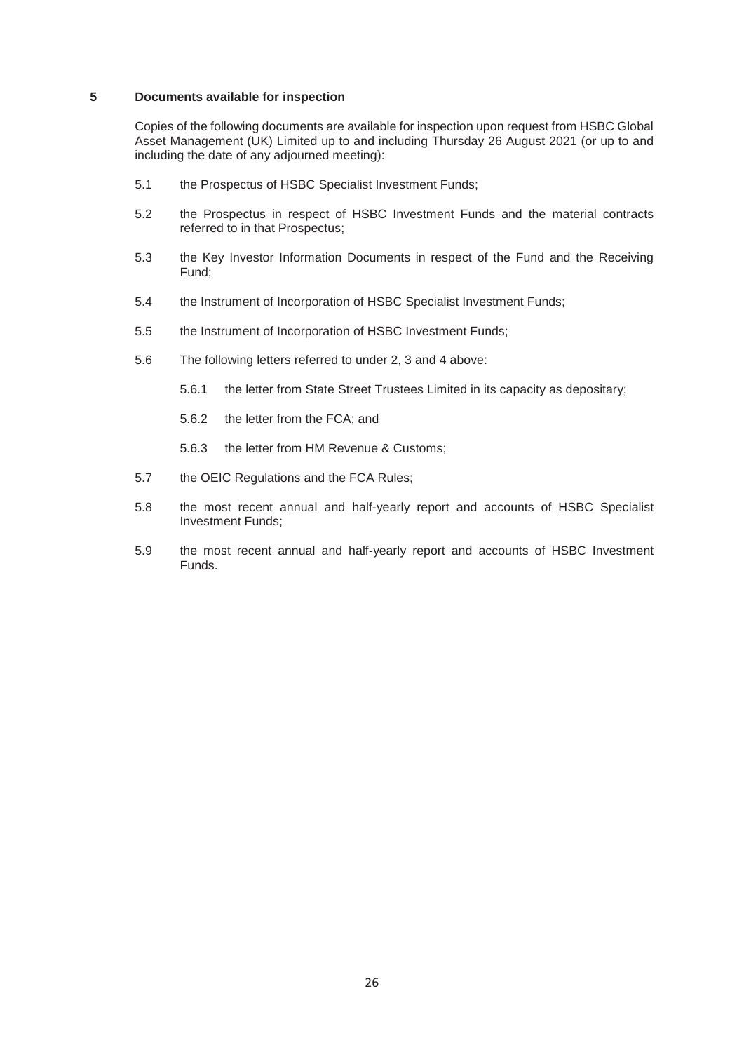# **5 Documents available for inspection**

Copies of the following documents are available for inspection upon request from HSBC Global Asset Management (UK) Limited up to and including Thursday 26 August 2021 (or up to and including the date of any adjourned meeting):

- 5.1 the Prospectus of HSBC Specialist Investment Funds;
- 5.2 the Prospectus in respect of HSBC Investment Funds and the material contracts referred to in that Prospectus;
- 5.3 the Key Investor Information Documents in respect of the Fund and the Receiving Fund;
- 5.4 the Instrument of Incorporation of HSBC Specialist Investment Funds;
- 5.5 the Instrument of Incorporation of HSBC Investment Funds;
- 5.6 The following letters referred to under 2, 3 and 4 above:
	- 5.6.1 the letter from State Street Trustees Limited in its capacity as depositary;
	- 5.6.2 the letter from the FCA; and
	- 5.6.3 the letter from HM Revenue & Customs;
- 5.7 the OEIC Regulations and the FCA Rules;
- 5.8 the most recent annual and half-yearly report and accounts of HSBC Specialist Investment Funds;
- 5.9 the most recent annual and half-yearly report and accounts of HSBC Investment Funds.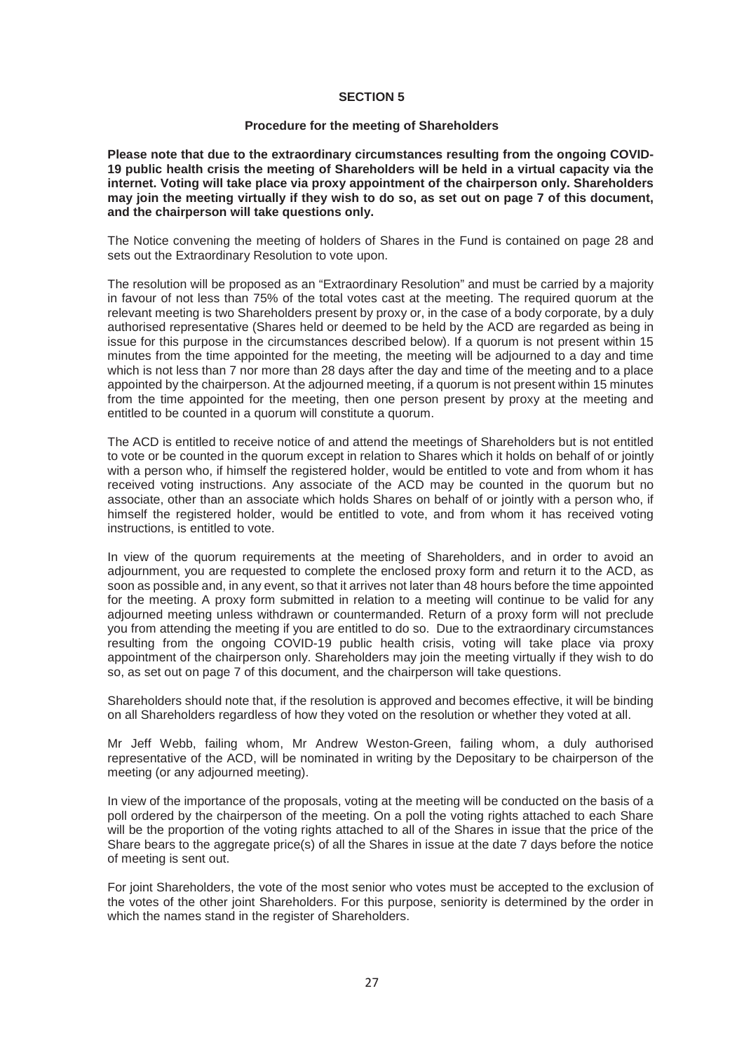# **SECTION 5**

# **Procedure for the meeting of Shareholders**

**Please note that due to the extraordinary circumstances resulting from the ongoing COVID-19 public health crisis the meeting of Shareholders will be held in a virtual capacity via the internet. Voting will take place via proxy appointment of the chairperson only. Shareholders may join the meeting virtually if they wish to do so, as set out on page 7 of this document, and the chairperson will take questions only.** 

The Notice convening the meeting of holders of Shares in the Fund is contained on page 28 and sets out the Extraordinary Resolution to vote upon.

The resolution will be proposed as an "Extraordinary Resolution" and must be carried by a majority in favour of not less than 75% of the total votes cast at the meeting. The required quorum at the relevant meeting is two Shareholders present by proxy or, in the case of a body corporate, by a duly authorised representative (Shares held or deemed to be held by the ACD are regarded as being in issue for this purpose in the circumstances described below). If a quorum is not present within 15 minutes from the time appointed for the meeting, the meeting will be adjourned to a day and time which is not less than 7 nor more than 28 days after the day and time of the meeting and to a place appointed by the chairperson. At the adjourned meeting, if a quorum is not present within 15 minutes from the time appointed for the meeting, then one person present by proxy at the meeting and entitled to be counted in a quorum will constitute a quorum.

The ACD is entitled to receive notice of and attend the meetings of Shareholders but is not entitled to vote or be counted in the quorum except in relation to Shares which it holds on behalf of or jointly with a person who, if himself the registered holder, would be entitled to vote and from whom it has received voting instructions. Any associate of the ACD may be counted in the quorum but no associate, other than an associate which holds Shares on behalf of or jointly with a person who, if himself the registered holder, would be entitled to vote, and from whom it has received voting instructions, is entitled to vote.

In view of the quorum requirements at the meeting of Shareholders, and in order to avoid an adjournment, you are requested to complete the enclosed proxy form and return it to the ACD, as soon as possible and, in any event, so that it arrives not later than 48 hours before the time appointed for the meeting. A proxy form submitted in relation to a meeting will continue to be valid for any adjourned meeting unless withdrawn or countermanded. Return of a proxy form will not preclude you from attending the meeting if you are entitled to do so. Due to the extraordinary circumstances resulting from the ongoing COVID-19 public health crisis, voting will take place via proxy appointment of the chairperson only. Shareholders may join the meeting virtually if they wish to do so, as set out on page 7 of this document, and the chairperson will take questions.

Shareholders should note that, if the resolution is approved and becomes effective, it will be binding on all Shareholders regardless of how they voted on the resolution or whether they voted at all.

Mr Jeff Webb, failing whom, Mr Andrew Weston-Green, failing whom, a duly authorised representative of the ACD, will be nominated in writing by the Depositary to be chairperson of the meeting (or any adjourned meeting).

In view of the importance of the proposals, voting at the meeting will be conducted on the basis of a poll ordered by the chairperson of the meeting. On a poll the voting rights attached to each Share will be the proportion of the voting rights attached to all of the Shares in issue that the price of the Share bears to the aggregate price(s) of all the Shares in issue at the date 7 days before the notice of meeting is sent out.

For joint Shareholders, the vote of the most senior who votes must be accepted to the exclusion of the votes of the other joint Shareholders. For this purpose, seniority is determined by the order in which the names stand in the register of Shareholders.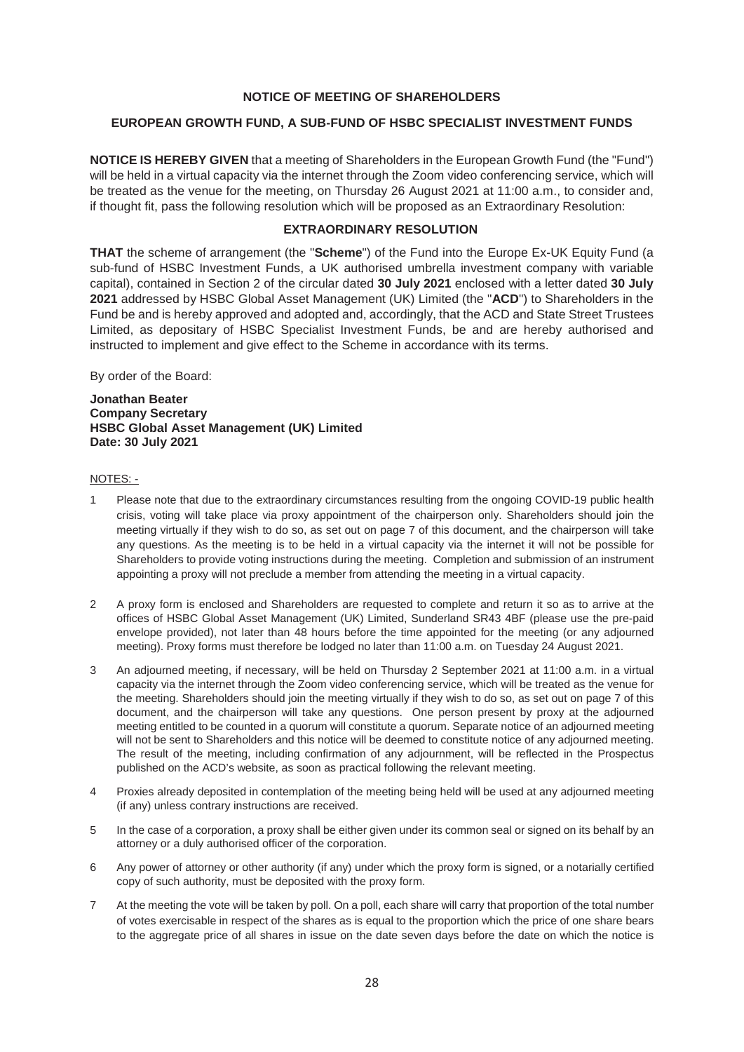# **NOTICE OF MEETING OF SHAREHOLDERS**

# **EUROPEAN GROWTH FUND, A SUB-FUND OF HSBC SPECIALIST INVESTMENT FUNDS**

**NOTICE IS HEREBY GIVEN** that a meeting of Shareholders in the European Growth Fund (the "Fund") will be held in a virtual capacity via the internet through the Zoom video conferencing service, which will be treated as the venue for the meeting, on Thursday 26 August 2021 at 11:00 a.m., to consider and, if thought fit, pass the following resolution which will be proposed as an Extraordinary Resolution:

# **EXTRAORDINARY RESOLUTION**

**THAT** the scheme of arrangement (the "**Scheme**") of the Fund into the Europe Ex-UK Equity Fund (a sub-fund of HSBC Investment Funds, a UK authorised umbrella investment company with variable capital), contained in Section 2 of the circular dated **30 July 2021** enclosed with a letter dated **30 July 2021** addressed by HSBC Global Asset Management (UK) Limited (the "**ACD**") to Shareholders in the Fund be and is hereby approved and adopted and, accordingly, that the ACD and State Street Trustees Limited, as depositary of HSBC Specialist Investment Funds, be and are hereby authorised and instructed to implement and give effect to the Scheme in accordance with its terms.

By order of the Board:

**Jonathan Beater Company Secretary HSBC Global Asset Management (UK) Limited Date: 30 July 2021** 

# NOTES: -

- 1 Please note that due to the extraordinary circumstances resulting from the ongoing COVID-19 public health crisis, voting will take place via proxy appointment of the chairperson only. Shareholders should join the meeting virtually if they wish to do so, as set out on page 7 of this document, and the chairperson will take any questions. As the meeting is to be held in a virtual capacity via the internet it will not be possible for Shareholders to provide voting instructions during the meeting. Completion and submission of an instrument appointing a proxy will not preclude a member from attending the meeting in a virtual capacity.
- 2 A proxy form is enclosed and Shareholders are requested to complete and return it so as to arrive at the offices of HSBC Global Asset Management (UK) Limited, Sunderland SR43 4BF (please use the pre-paid envelope provided), not later than 48 hours before the time appointed for the meeting (or any adjourned meeting). Proxy forms must therefore be lodged no later than 11:00 a.m. on Tuesday 24 August 2021.
- 3 An adjourned meeting, if necessary, will be held on Thursday 2 September 2021 at 11:00 a.m. in a virtual capacity via the internet through the Zoom video conferencing service, which will be treated as the venue for the meeting. Shareholders should join the meeting virtually if they wish to do so, as set out on page 7 of this document, and the chairperson will take any questions. One person present by proxy at the adjourned meeting entitled to be counted in a quorum will constitute a quorum. Separate notice of an adjourned meeting will not be sent to Shareholders and this notice will be deemed to constitute notice of any adjourned meeting. The result of the meeting, including confirmation of any adjournment, will be reflected in the Prospectus published on the ACD's website, as soon as practical following the relevant meeting.
- 4 Proxies already deposited in contemplation of the meeting being held will be used at any adjourned meeting (if any) unless contrary instructions are received.
- 5 In the case of a corporation, a proxy shall be either given under its common seal or signed on its behalf by an attorney or a duly authorised officer of the corporation.
- 6 Any power of attorney or other authority (if any) under which the proxy form is signed, or a notarially certified copy of such authority, must be deposited with the proxy form.
- 7 At the meeting the vote will be taken by poll. On a poll, each share will carry that proportion of the total number of votes exercisable in respect of the shares as is equal to the proportion which the price of one share bears to the aggregate price of all shares in issue on the date seven days before the date on which the notice is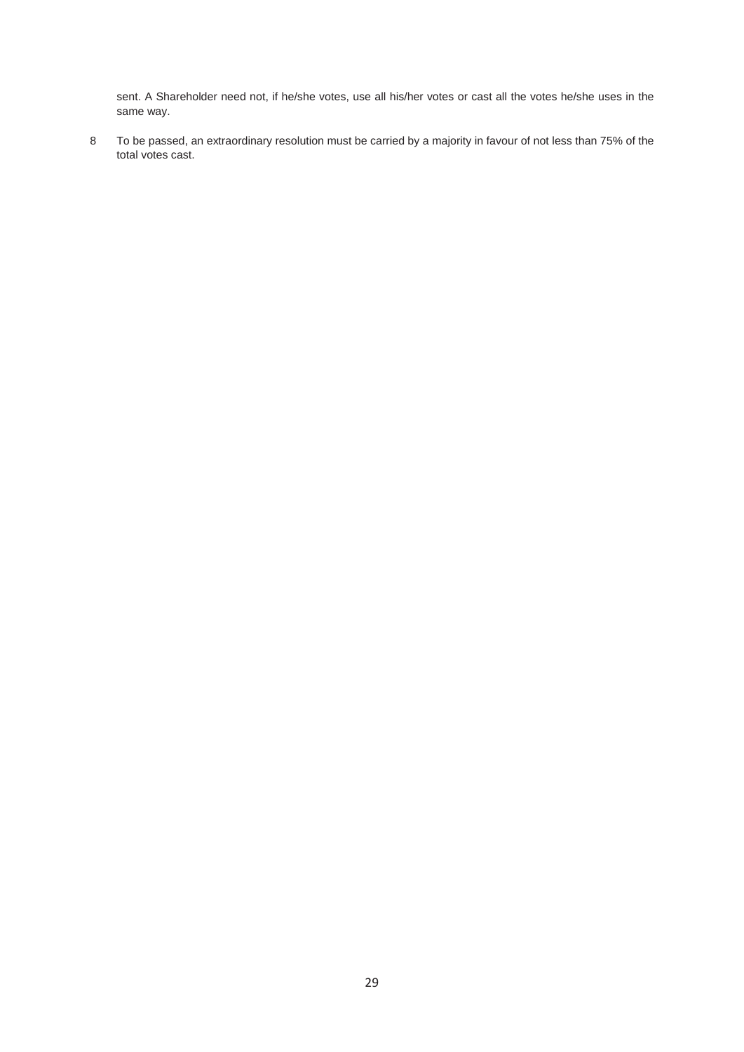sent. A Shareholder need not, if he/she votes, use all his/her votes or cast all the votes he/she uses in the same way.

8 To be passed, an extraordinary resolution must be carried by a majority in favour of not less than 75% of the total votes cast.